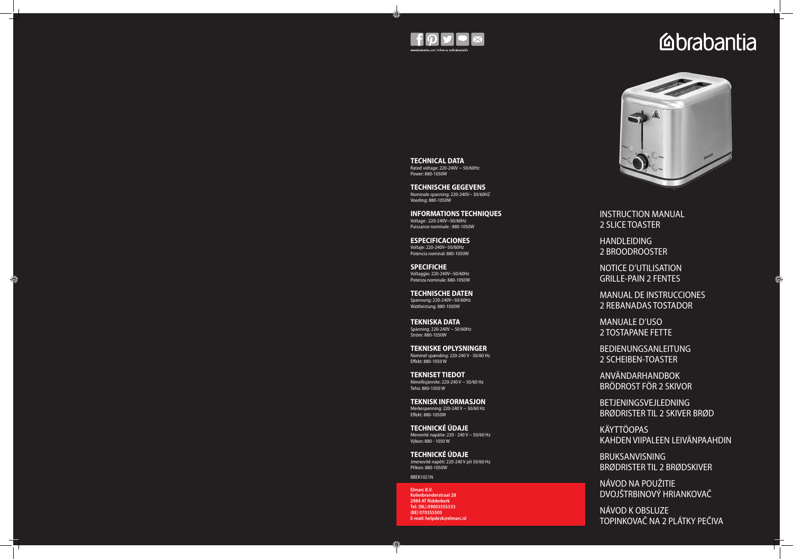

#### **TECHNICAL DATA** Rated voltage: 220-240V ~ 50/60Hz

Power: 880-1050W

### **TECHNISCHE GEGEVENS**

Nominale spanning: 220-240V~ 50/60HZ Voeding: 880-1050W

**INFORMATIONS TECHNIQUES** Voltage : 220-240V~50/60Hz Puissance nominale : 880-1050W

**ESPECIFICACIONES** Voltaje: 220-240V~50/60Hz

Potencia nominal: 880-1050W

**SPECIFICHE** Voltaggio: 220-240V~50/60Hz Potenza nominale: 880-1050W

G

**TECHNISCHE DATEN** Spannung: 220-240V~50/60Hz

Wattleistung: 880-1050W

**TEKNISKA DATA**

Spänning: 220-240V ~ 50/60Hz Ström: 880-1050W

**TEKNISKE OPLYSNINGER** Nominel spænding: 220-240 V - 50/60 Hz

Effekt: 880-1050 W

**TEKNISET TIEDOT** Nimellisjännite: 220-240 V ~ 50/60 Hz Teho: 880-1050 W

**TEKNISK INFORMASJON** Merkespenning: 220-240 V ~ 50/60 Hz Effekt: 880-1050W

**TECHNICKÉ ÚDAJE** Menovité napätie: 220 - 240 V ~ 50/60 Hz Výkon: 880 - 1050 W

**TECHNICKÉ ÚDAJE** Jmenovité napětí: 220-240 V při 50/60 Hz Příkon: 880-1050W

BBEK1021N

INSTRUCTION MANUAL 2 SLICE TOASTER

HANDLEIDING 2 BROODROOSTER

NOTICE D'UTILISATION GRILLE-PAIN 2 FENTES

MANUAL DE INSTRUCCIONES 2 REBANADAS TOSTADOR

MANUALE D'USO 2 TOSTAPANE FETTE

BEDIENUNGSANLEITUNG 2 SCHEIBEN-TOASTER

ANVÄNDARHANDBOK BRÖDROST FÖR 2 SKIVOR

BETJENINGSVEJLEDNING BRØDRISTER TIL 2 SKIVER BRØD

KÄYTTÖOPAS KAHDEN VIIPALEEN LEIVÄNPAAHDIN

BRUKSANVISNING BRØDRISTER TIL 2 BRØDSKIVER

NÁVOD NA POUŽITIE DVOJŠTRBINOVÝ HRIANKOVAČ

NÁVOD K OBSLUZE TOPINKOVAČ NA 2 PLÁTKY PEČIVA

**Elmarc B.V. Kolenbranderstraat 28 2984 AT Ridderkerk Tel: (NL) 09003555333 (BE) 070355505 E-mail: helpdesk@elmarc.nl**

# **Ebrabantia**

◈

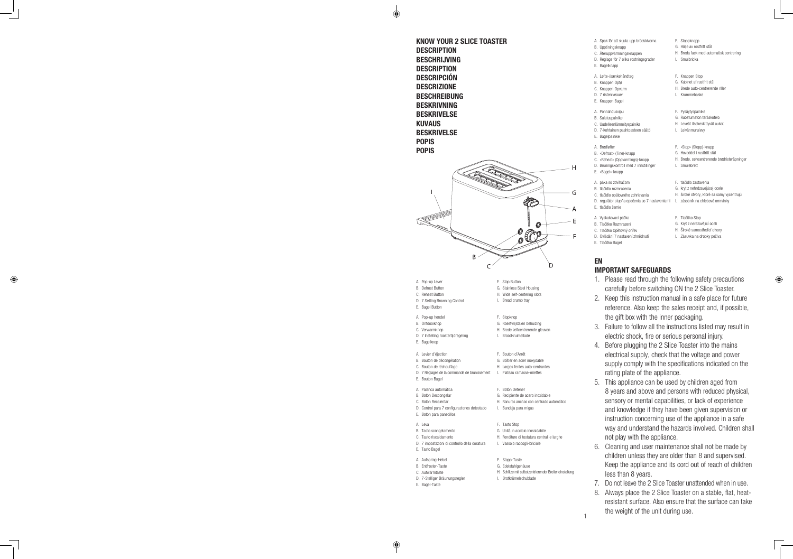1

KNOW YOUR 2 SLICE TOASTER **DESCRIPTION** BESCHRIJVING **DESCRIPTION** DESCRIPCIÓN DESCRIZIONE **BESCHREIBUNG** BESKRIVNING BESKRIVELSE KUVAUS BESKRIVELSE POPIS POPIS

 $\bigoplus$ 



A. Leva

H. Schlitze mit selbstzentrierender Breiteneinstellung

- 
- 
- 
- E. Tasto Bagel
- 
- B. Entfroster-Taste
- C. Aufwärmtaste
- 
- 

I. Brotkrümelschublade

- 
- D. 7-Stelliger Bräunungsregler
- E. Bagel-Taste
- F. Stoppknapp
- G. Hölje av rostfritt stål
- H. Breda fack med automatisk centrering
- I. Smulbricka
- F. Knappen Stop
- G. Kabinet af rustfrit stål
- H. Brede auto-centrerende riller
- I. Krummebakke
- F. Pysäytyspainike
- G. Ruostumaton teräskotelo
- H. Leveät itsekeskittyvät aukot
- I. Leivänmurulevy
- F. «Stop» (Stopp)-knapp
- G. Hoveddel i rustfritt stål
- H. Brede, selvsentrerende brødristeråpninger
- I. Smulebrett
- F. tlačidlo zastavenia
- G. kryt z nehrdzavejúcej ocele
- H. široké otvory, ktoré sa samy vycentrujú

 $\bigoplus$ 

- A. Spak för att skjuta upp brödskivorna
- B. Upptiningsknapp
- C. Återuppvärmningsknappen
- D. Reglage för 7 olika rostningsgrader
- F. Bagelknapp
- A. Løfte-/sænkehåndtag
- B. Knappen Optø
- C. Knappen Opvarm
- D. 7 risteniveauer
- E. Knappen Bagel
- A. Ponnahdusvipu
- B. Sulatuspainike
- C. Uudelleenlämmityspainike
- D. 7-kohtainen paahtoasteen säätö
- E. Bagelpainike
- A. Brødløfter
- B. «Defrost» (Tine)-knapp
- C. «Reheat» (Oppvarmings)-knapp
- D. Bruningskontroll med 7 innstillinger
- E. «Bagel»-knapp
- A. páka so zdvíhačom
- B. tlačidlo rozmrazenia
- C. tlačidlo opätovného zohrievania
- D. regulátor stupňa opečenia so 7 nastaveniami l. zásobník na chlebové omrvinky
- E. tlačidlo žemle
- A. Vyskakovací páčka
- B. Tlačítko Rozmrazení
- C. Tlačítko Opětovný ohřev
- D. Ovládání 7 nastavení zhnědnutí
- E. Tlačítko Bagel
- 
- F. Tlačítko Stop
- G. Kryt z nerezavějící oceli
- H. Široké samostředicí otvory
- I. Zásuvka na drobky pečiva

### EN

### IMPORTANT SAFEGUARDS

- 1. Please read through the following safety precautions carefully before switching ON the 2 Slice Toaster.
- 2. Keep this instruction manual in a safe place for future reference. Also keep the sales receipt and, if possible, the gift box with the inner packaging.
- 3. Failure to follow all the instructions listed may result in electric shock, fire or serious personal injury.
- 4. Before plugging the 2 Slice Toaster into the mains electrical supply, check that the voltage and power supply comply with the specifications indicated on the rating plate of the appliance.
- 5. This appliance can be used by children aged from 8 years and above and persons with reduced physical, sensory or mental capabilities, or lack of experience and knowledge if they have been given supervision or instruction concerning use of the appliance in a safe way and understand the hazards involved. Children shall not play with the appliance.
- 6. Cleaning and user maintenance shall not be made by children unless they are older than 8 and supervised. Keep the appliance and its cord out of reach of children less than 8 years.
- 7. Do not leave the 2 Slice Toaster unattended when in use.
- 8. Always place the 2 Slice Toaster on a stable, flat, heatresistant surface. Also ensure that the surface can take the weight of the unit during use.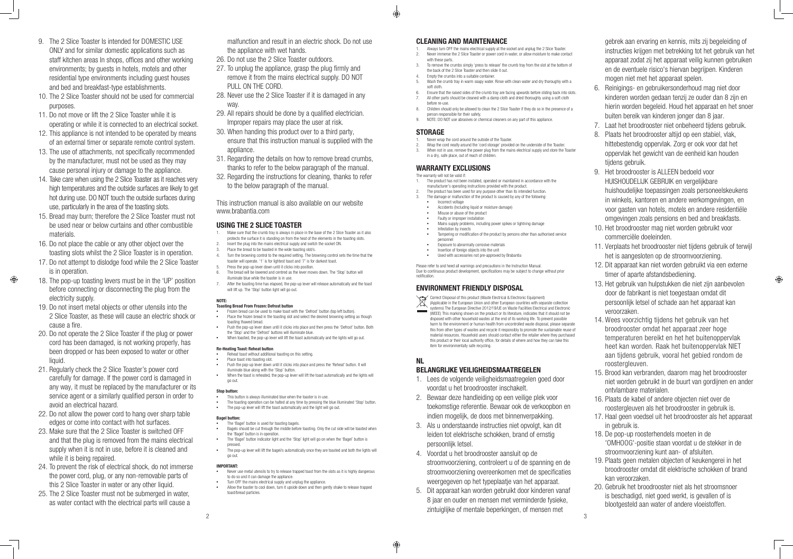- 9. The 2 Slice Toaster Is intended for DOMESTIC USE ONLY and for similar domestic applications such as staff kitchen areas In shops, offices and other working environments; by guests in hotels, motels and other residential type environments including guest houses and bed and breakfast-type establishments.
- 10. The 2 Slice Toaster should not be used for commercial purposes.
- 11. Do not move or lift the 2 Slice Toaster while it is operating or while it is connected to an electrical socket.
- 12. This appliance is not intended to be operated by means of an external timer or separate remote control system.
- 13. The use of attachments, not specifically recommended by the manufacturer, must not be used as they may cause personal injury or damage to the appliance.
- 14. Take care when using the 2 Slice Toaster as it reaches very high temperatures and the outside surfaces are likely to get hot during use. DO NOT touch the outside surfaces during use, particularly in the area of the toasting slots.
- 15. Bread may burn; therefore the 2 Slice Toaster must not be used near or below curtains and other combustible materials.
- 16. Do not place the cable or any other object over the toasting slots whilst the 2 Slice Toaster is in operation.
- 17. Do not attempt to dislodge food while the 2 Slice Toaster is in operation.
- 18. The pop-up toasting levers must be in the 'UP' position before connecting or disconnecting the plug from the electricity supply.

 $\bigoplus$ 

- 1. Make sure that the crumb tray is always in place in the base of the 2 Slice Toaster as it also protects the surface it is standing on from the heat of the elements in the toasting slots.
	- 2. Insert the plug into the mains electrical supply and switch the socket ON.
- 3. Place the bread to be toasted in the wide toasting slot/s.<br>4. Turn the browning control to the required setting. The br
- Turn the browning control to the required setting. The browning control sets the time that the toaster will operate. '1' is for lightest toast and '7' is for darkest toast.
- 5. Press the pop-up lever down until it clicks into position.<br>6. The bread will be lowered and centred as the lever mov 6. The bread will be lowered and centred as the lever moves down. The 'Stop' button will
- illuminate blue while the toaster is in use.
- 7. After the toasting time has elapsed, the pop-up lever will release automatically and the toast will lift up. The 'Stop' button light will go out.

- 19. Do not insert metal objects or other utensils into the 2 Slice Toaster, as these will cause an electric shock or cause a fire.
- 20. Do not operate the 2 Slice Toaster if the plug or power cord has been damaged, is not working properly, has been dropped or has been exposed to water or other liquid.
- 21. Regularly check the 2 Slice Toaster's power cord carefully for damage. If the power cord is damaged in any way, it must be replaced by the manufacturer or its service agent or a similarly qualified person in order to avoid an electrical hazard.
- 22. Do not allow the power cord to hang over sharp table edges or come into contact with hot surfaces.
- 23. Make sure that the 2 Slice Toaster is switched OFF and that the plug is removed from the mains electrical supply when it is not in use, before it is cleaned and while it is being repaired.
- 24. To prevent the risk of electrical shock, do not immerse the power cord, plug, or any non-removable parts of this 2 Slice Toaster in water or any other liquid.
- 25. The 2 Slice Toaster must not be submerged in water, as water contact with the electrical parts will cause a
- Reheat toast without additional toasting on this setting.
- Place toast into toasting slot. Push the pop-up lever down until it clicks into place and press the 'Reheat' button. It will illuminate blue along with the 'Stop' button.
- When the toast is reheated, the pop-up lever will lift the toast automatically and the lights will go out.

malfunction and result in an electric shock. Do not use the appliance with wet hands.

- The 'Bagel' button is used for toasting bagels.
- **•**  Bagels should be cut through the middle before toasting. Only the cut side will be toasted when the 'Bagel' button is in operation.
- The 'Bagel' button indicator light and the 'Stop' light will go on when the 'Bagel' button is pressed.
- <sup>t</sup> The pop-up lever will lift the bagel/s automatically once they are toasted and both the lights will go out.
- 26. Do not use the 2 Slice Toaster outdoors.
- 27. To unplug the appliance, grasp the plug firmly and remove it from the mains electrical supply. DO NOT PULL ON THE CORD.
- 28. Never use the 2 Slice Toaster if it is damaged in any way.
- 29. All repairs should be done by a qualified electrician. Improper repairs may place the user at risk.
- 30. When handing this product over to a third party, ensure that this instruction manual is supplied with the appliance.
- 31. Regarding the details on how to remove bread crumbs, thanks to refer to the below paragraph of the manual.
- 32. Regarding the instructions for cleaning, thanks to refer to the below paragraph of the manual.

- Never use metal utensils to try to release trapped toast from the slots as it is highly dangerous to do so and it can damage the appliance.
- Turn OFF the mains electrical supply and unplug the appliance
- **•**  Allow the toaster to cool down, turn it upside down and then gently shake to release trapped toast/bread particles.

This instruction manual is also available on our website www.brabantia.com

### USING THE 2 SLICE TOASTER

- 1. Always turn OFF the mains electrical supply at the socket and unplug the 2 Slice Toaster.<br>2 Never immerse the 2 Slice Toaster or nower cord in water or allow moisture to make con
- 2. Never immerse the 2 Slice Toaster or power cord in water, or allow moisture to make contact with these parts. 3. To remove the crumbs simply 'press to release' the crumb tray from the slot at the bottom of
- the back of the 2 Slice Toaster and then slide it out.
- Empty the crumbs into a suitable container.
- Wash the crumb tray in warm soapy water. Rinse with clean water and dry thoroughly with a soft cloth.
- Ensure that the raised sides of the crumb tray are facing upwards before sliding back into slots. All other parts should be cleaned with a damp cloth and dried thoroughly using a soft cloth before re-use.
- 8. Children should only be allowed to clean the 2 Slice Toaster if they do so in the presence of a person responsible for their safety.
- 9. NOTE: DO NOT use abrasives or chemical cleaners on any part of this appliance.

- 1. The product has not been installed, operated or maintained in accordance with the manufacturer's operating instructions provided with the product.
- The product has been used for any purpose other than its intended function.
- The damage or malfunction of the product Is caused by any of the following: **Incorrect voltage** 
	- **•**  Accidents (Including liquid or moisture damage)
- **•**  Misuse or abuse of the product
- **Faulty or improper installation**
- Mains supply problems, including power spikes or lightning damage **Infestation by insects**
- Tampering or modification of the product by persons other than authorised service personnel
- **Exposure to abnormally corrosive materials**
- **Insertion of foreign objects into the unit**
- **Used with accessories not pre-approved by Brabantia**

#### NOTE:

#### Toasting Bread From Frozen: Defrost button

- Frozen bread can be used to make toast with the 'Defrost' button (top left button). Place the frozen bread in the toasting slot and select the desired browning setting as though toasting thawed bread.
- Push the pop-up lever down until it clicks into place and then press the 'Defrost' button. Both the 'Stop' and the 'Defrost' buttons will illuminate blue.
- When toasted, the pop-up lever will lift the toast automatically and the lights will go out.

#### Re-Heating Toast: Reheat button

#### Stop button:

- This button is always illuminated blue when the toaster is in use.
- The toasting operation can be halted at any time by pressing the blue illuminated 'Stop' button. The pop-up lever will lift the toast automatically and the light will go out.

#### Bagel button:

#### IMPORTANT:

### CLEANING AND MAINTENANCE

### STORAGE

€

- 1. Never wrap the cord around the outside of the Toaster.
- 2. Wrap the cord neatly around the 'cord storage' provided on the underside of the Toaster. When not in use, remove the power plug from the mains electrical supply and store the Toaster in a dry, safe place, out of reach of children.

### WARRANTY EXCLUSIONS

The warranty will not be valid if:

Please refer to and heed all warnings and precautions in the Instruction Manual. Due to continuous product development, specifications may be subject to change without prior notification.

### ENVIRONMENT FRIENDLY DISPOSAL

Correct Disposal of this product (Waste Electrical & Electronic Equipment)<br>(Applicable in the European Union and other Furonean countries with sone

(Applicable in the European Union and other European countries with separate collection systems) The European Directive 2012/19/UE on Waste Facilities Electrical and Electronic (WEEE) This marking shown on the product or its literature, indicates that it should not be disposed with other household wastes at the end of its working life. To prevent possible harm to the environment or human health from uncontrolled waste disposal, please separate this from other types of wastes and recycle it responsibly to promote the sustainable reuse of material resources. Household users should contact either the retailer where they purchased this product or their local authority office, for details of where and how they can take this item for environmentally safe recycling.

### NL

⊕

### BELANGRIJKE VEILIGHEIDSMAATREGELEN

- 1. Lees de volgende veiligheidsmaatregelen goed door voordat u het broodrooster inschakelt.
- 2. Bewaar deze handleiding op een veilige plek voor toekomstige referentie. Bewaar ook de verkoopbon en indien mogelijk, de doos met binnenverpakking.
- 3. Als u onderstaande instructies niet opvolgt, kan dit leiden tot elektrische schokken, brand of ernstig persoonlijk letsel.
- 4. Voordat u het broodrooster aansluit op de stroomvoorziening, controleert u of de spanning en de stroomvoorziening overeenkomen met de specificaties weergegeven op het typeplaatje van het apparaat.
- $2\overline{3}$ 5. Dit apparaat kan worden gebruikt door kinderen vanaf 8 jaar en ouder en mensen met verminderde fysieke, zintuiglijke of mentale beperkingen, of mensen met

gebrek aan ervaring en kennis, mits zij begeleiding of instructies krijgen met betrekking tot het gebruik van het apparaat zodat zij het apparaat veilig kunnen gebruiken en de eventuele risico's hiervan begrijpen. Kinderen mogen niet met het apparaat spelen.

- 6. Reinigings- en gebruikersonderhoud mag niet door kinderen worden gedaan tenzij ze ouder dan 8 zijn en hierin worden begeleid. Houd het apparaat en het snoer buiten bereik van kinderen jonger dan 8 jaar.
- 7. Laat het broodrooster niet onbeheerd tijdens gebruik.
- 8. Plaats het broodrooster altijd op een stabiel, vlak, hittebestendig oppervlak. Zorg er ook voor dat het oppervlak het gewicht van de eenheid kan houden tijdens gebruik.
- 9. Het broodrooster is ALLEEN bedoeld voor HUISHOUDELIJK GEBRUIK en vergelijkbare huishoudelijke toepassingen zoals personeelskeukens in winkels, kantoren en andere werkomgevingen, en voor gasten van hotels, motels en andere residentiële omgevingen zoals pensions en bed and breakfasts.
- 10. Het broodrooster mag niet worden gebruikt voor commerciële doeleinden.
- 11. Verplaats het broodrooster niet tijdens gebruik of terwijl het is aangesloten op de stroomvoorziening.
- 12. Dit apparaat kan niet worden gebruikt via een externe timer of aparte afstandsbediening.

- 13. Het gebruik van hulpstukken die niet zijn aanbevolen door de fabrikant is niet toegestaan omdat dit persoonlijk letsel of schade aan het apparaat kan veroorzaken.
- 14. Wees voorzichtig tijdens het gebruik van het broodrooster omdat het apparaat zeer hoge temperaturen bereikt en het het buitenoppervlak heet kan worden. Raak het buitenoppervlak NIET aan tijdens gebruik, vooral het gebied rondom de roostergleuven.
- 15. Brood kan verbranden, daarom mag het broodrooster niet worden gebruikt in de buurt van gordijnen en ander ontvlambare materialen.
- 16. Plaats de kabel of andere objecten niet over de roostergleuven als het broodrooster in gebruik is.
- 17. Haal geen voedsel uit het broodrooster als het apparaat in gebruik is.
- 18. De pop-up roosterhendels moeten in de 'OMHOOG'-positie staan voordat u de stekker in de stroomvoorziening kunt aan- of afsluiten.
- 19. Plaats geen metalen objecten of keukengerei in het broodrooster omdat dit elektrische schokken of brand kan veroorzaken.
- 20. Gebruik het broodrooster niet als het stroomsnoer is beschadigd, niet goed werkt, is gevallen of is blootgesteld aan water of andere vloeistoffen.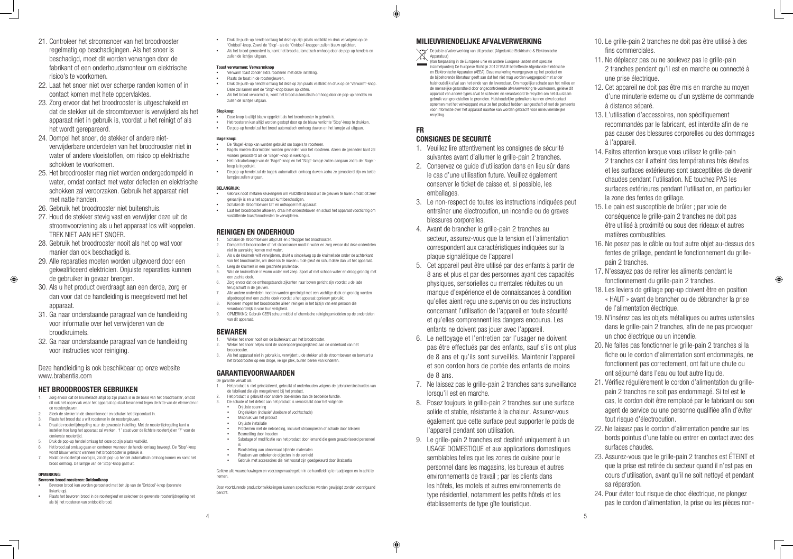- 21. Controleer het stroomsnoer van het broodrooster regelmatig op beschadigingen. Als het snoer is beschadigd, moet dit worden vervangen door de fabrikant of een onderhoudsmonteur om elektrische risico's te voorkomen.
- 22. Laat het snoer niet over scherpe randen komen of in contact komen met hete oppervlaktes.
- 23. Zorg ervoor dat het broodrooster is uitgeschakeld en dat de stekker uit de stroomtoevoer is verwijderd als het apparaat niet in gebruik is, voordat u het reinigt of als het wordt gerepareerd.
- 24. Dompel het snoer, de stekker of andere nietverwijderbare onderdelen van het broodrooster niet in water of andere vloeistoffen, om risico op elektrische schokken te voorkomen.
- 25. Het broodrooster mag niet worden ondergedompeld in water, omdat contact met water defecten en elektrische schokken zal veroorzaken. Gebruik het apparaat niet met natte handen.
- 26. Gebruik het broodrooster niet buitenshuis.
- 27. Houd de stekker stevig vast en verwijder deze uit de stroomvoorziening als u het apparaat los wilt koppelen. TREK NIET AAN HET SNOER.
- 28. Gebruik het broodrooster nooit als het op wat voor manier dan ook beschadigd is.
- 29. Alle reparaties moeten worden uitgevoerd door een gekwalificeerd elektricien. Onjuiste reparaties kunnen de gebruiker in gevaar brengen.
- 30. Als u het product overdraagt aan een derde, zorg er dan voor dat de handleiding is meegeleverd met het apparaat.
- 31. Ga naar onderstaande paragraaf van de handleiding voor informatie over het verwijderen van de broodkruimels.
- 32. Ga naar onderstaande paragraaf van de handleiding voor instructies voor reiniging.

- 1. Zorg ervoor dat de kruimellade altijd op zijn plaats is in de basis van het broodrooster, omdat dit ook het oppervlak waar het apparaat op staat beschermt tegen de hitte van de elementen in de roostergleuven.
- 2. Steek de stekker in de stroomtoevoer en schakel het stopcontact in.
- Plaats het brood dat u wilt roosteren in de roostergleuven.
- 4. Draai de roostertijdregeling naar de gewenste instelling. Met de roostertijdregeling kunt u instellen hoe lang het apparaat zal werken. '1' staat voor de lichtste roostertijd en '7' voor de donkerste roostertijd.
- 5. Druk de pop-up hendel omlaag tot deze op zijn plaats vastklikt. 6. Het brood zal omlaag gaan en centreren wanneer de hendel omlaag beweegt. De 'Stop'-knop
- wordt blauw verlicht wanneer het broodrooster in gebruik is. 7. Nadat de roostertijd voorbij is, zal de pop-up hendel automatisch omhoog komen en komt het brood omhoog. De lampje van de 'Stop'-knop gaat uit.
- **OPMERKING:**

 $\bigoplus$ 

- Bevroren brood kan worden geroosterd met behulp van de 'Ontdooi'-knop (bovenste linkerknop).
- Plaats het bevroren brood in de roostergleuf en selecteer de gewenste roostertijdregeling net als bij het roosteren van ontdooid brood.
- **•**  Druk de push-up hendel omlaag tot deze op zijn plaats vastklikt en druk vervolgens op de 'Ontdooi'-knop. Zowel de 'Stop'- als de 'Ontdooi'-knoppen zullen blauw oplichten.
- Als het brood geroosterd is, komt het brood automatisch omhoog door de pop-up hendels en zullen de lichties uitgaan.

Deze handleiding is ook beschikbaar op onze website www.brabantia.com

### HET BROODROOSTER GEBRUIKEN

- **Deze knop is altijd blauw opgelicht als het broodrooster in gebruik is.**
- Het roosteren kan altijd worden gestopt door op de blauw verlichte 'Stop'-knop te drukken. **•**  De pop-up hendel zal het brood automatisch omhoog duwen en het lampje zal uitgaan.

- **Bagelknop:**<br>• De 'Ra **•**  De 'Bagel'-knop kan worden gebruikt om bagels te roosteren.
- **•**  Bagels moeten doormidden worden gesneden voor het roosteren. Alleen de gesneden kant zal worden geroosterd als de 'Bagel'-knop in werking is.
- **•**  Het indicatorlampje van de 'Bagel'-knop en het 'Stop'-lampje zullen aangaan zodra de 'Bagel' knop is ingedrukt.
- **•**  De pop-up hendel zal de bagels automatisch omhoog duwen zodra ze geroosterd zijn en beide lampjes zullen uitgaan.

- Gebruik nooit metalen keukengerei om vastzittend brood uit de gleuven te halen omdat dit zeer gevaarlijk is en u het apparaat kunt beschadigen.
- **•** Schakel de stroomtoevoer UIT en ontkoppel het apparaat
- **•**  Laat het broodrooster afkoelen, draai het ondersteboven en schud het apparaat voorzichtig om vastzittende toast/broodresten te verwijderen.

- 1. Schakel de stroomtoevoer altijd UIT en ontkoppel het broodrooster. 2. Dompel het broodrooster of het stroomsnoer nooit in water en zorg ervoor dat deze onderdelen niet in aanraking komen met water.
- 3. Als u de kruimels wilt verwijderen, drukt u simpelweg op de kruimellade onder de achterkant van het broodrooster, om deze los te maken uit de gleuf en schuif deze dan uit het apparaat.
- 4. Leeg de kruimels in een geschikte prullenbak. 5. Was de kruimellade in warm water met zeep. Spoel af met schoon water en droog grondig met
- een zachte doek. 6. Zorg ervoor dat de omhoogstaande zijkanten naar boven gericht zijn voordat u de lade
- terugschuift in de gleuven.
- 7. Alle andere onderdelen moeten worden gereinigd met een vochtige doek en grondig worden afgedroogd met een zachte doek voordat u het apparaat opnieuw gebruikt.
- 8. Kinderen mogen het broodrooster alleen reinigen in het bijzijn van een persoon die verantwoordelijk is voor hun veiligheid.
- 9. OPMERKING: Gebruik GEEN schuurmiddel of chemische reinigingsmiddelen op de onderdelen van dit annaraat.

#### Bevroren brood roosteren: Ontdooiknop

#### Toast verwarmen: Verwarmknop

- **•**  Verwarm toast zonder extra roosteren met deze instelling.
- Plaats de toast in de roostergleuven.
- Druk de push-up hendel omlaag tot deze op zijn plaats vastklikt en druk op de 'Verwarm'-knop Deze zal samen met de 'Stop'-knop blauw oplichten.
- **•**  Als het brood verwarmd is, komt het brood automatisch omhoog door de pop-up hendels en zullen de lichtjes uitgaan.

### Stopknop:<br>a<br>Deze

(Van toepassing in de Europese unie en andere Europese landen met speciale inzamelpunten) De Europese Richtlijn 2012/19/UE betreffende Afgedankte Elektrische en Elektronische Apparaten (AEEA). Deze markering weergegeven op het product en de bijbehorende literatuur geeft aan dat het niet mag worden weggegooid met ander huishoudelijk afval aan het einde van de levensduur. Om mogelijke schade aan het milieu en de menselijke gezondheid door ongecontroleerde afvalverwerking te voorkomen, gelieve dit apparaat van andere types afval te scheiden en verantwoord te recyclen om het duurzaam gebruik van grondstoffen te promoten. Huishoudelijke gebruikers kunnen ofwel contact opnemen met het verkooppunt waar ze het product hebben aangeschaft of met de gemeente voor informatie over het apparaat naartoe kan worden gebracht voor milieuvriendelijke recycling

#### BELANGRIJK:

### REINIGEN EN ONDERHOUD

### BEWAREN

- 1. Wikkel het snoer nooit om de buitenkant van het broodrooster.
- 2. Wikkel het snoer netjes rond de snoeropbergmogelijkheid aan de onderkant van het broodrooster.
- 3. Als het apparaat niet in gebruik is, verwijdert u de stekker uit de stroomtoevoer en bewaart u het broodrooster op een droge, veilige plek, buiten bereik van kinderen.

### GARANTIEVOORWAARDEN

De garantie vervalt als:

- 1. Het product is niet geïnstalleerd, gebruikt of onderhouden volgens de gebruikersinstructies van de fabrikant die zijn meegeleverd bij het product.
- Het product is gebruikt voor andere doeleinden dan de bedoelde functie.
- 3. De schade of het defect aan het product is veroorzaakt door het volgende:
	- **•**  Onjuiste spanning **•**  Ongelukken (inclusief vloeibare of vochtschade)
	- **•**  Misbruik van het product
	- **•**  Onjuiste installatie
	- **•**  Problemen met de netvoeding, inclusief stroompieken of schade door bliksem
	- **Besmetting door insecter**
	- Sabotage of modificatie van het product door iemand die geen geautoriseerd personeel
	- is **•**  Blootstelling aan abnormaal bijtende materialen
	- **•**  Plaatsen van onbekende objecten in de eenheid
- **•**  Gebruik met accessoires die niet vooraf zijn goedgekeurd door Brabantia

Gelieve alle waarschuwingen en voorzorgsmaatregelen in de handleiding te raadplegen en in acht te nemen.

Door voortdurende productontwikkelingen kunnen specificaties worden gewijzigd zonder voorafgaand bericht.

### MILIEUVRIENDELIJKE AFVALVERWERKING

De juiste afvalverwerking van dit product (Afgedankte Elektrische & Elektronische Apparatuur)

### FR

⊕

### CONSIGNES DE SECURITÉ

- 1. Veuillez lire attentivement les consignes de sécurité suivantes avant d'allumer le grille-pain 2 tranches.
- 2. Conservez ce guide d'utilisation dans en lieu sûr dans le cas d'une utilisation future. Veuillez également conserver le ticket de caisse et, si possible, les emballages.
- 3. Le non-respect de toutes les instructions indiquées peut entraîner une électrocution, un incendie ou de graves blessures corporelles.
- 4. Avant de brancher le grille-pain 2 tranches au secteur, assurez-vous que la tension et l'alimentation correspondent aux caractéristiques indiquées sur la plaque signalétique de l'appareil
- 5. Cet appareil peut être utilisé par des enfants à partir de 8 ans et plus et par des personnes ayant des capacités physiques, sensorielles ou mentales réduites ou un manque d'expérience et de connaissances à condition qu'elles aient reçu une supervision ou des instructions concernant l'utilisation de l'appareil en toute sécurité et qu'elles comprennent les dangers encourus. Les enfants ne doivent pas jouer avec l'appareil.
- 6. Le nettoyage et l'entretien par l'usager ne doivent pas être effectués par des enfants, sauf s'ils ont plus de 8 ans et qu'ils sont surveillés. Maintenir I'appareil et son cordon hors de portée des enfants de moins de 8 ans.
- 7. Ne laissez pas le grille-pain 2 tranches sans surveillance lorsqu'il est en marche. 8. Posez toujours le grille-pain 2 tranches sur une surface solide et stable, résistante à la chaleur. Assurez-vous 21. Vérifiez régulièrement le cordon d'alimentation du grillepain 2 tranches ne soit pas endommagé. Si tel est le cas, le cordon doit être remplacé par le fabricant ou son agent de service ou une personne qualifiée afin d'éviter tout risque d'électrocution.
- également que cette surface peut supporter le poids de l'appareil pendant son utilisation.
- 9. Le grille-pain 2 tranches est destiné uniquement à un USAGE DOMESTIQUE et aux applications domestiques semblables telles que les zones de cuisine pour le personnel dans les magasins, les bureaux et autres environnements de travail ; par les clients dans les hôtels, les motels et autres environnements de type résidentiel, notamment les petits hôtels et les établissements de type gîte touristique.
- 10. Le grille-pain 2 tranches ne doit pas être utilisé à des fins commerciales.
- 11. Ne déplacez pas ou ne soulevez pas le grille-pain 2 tranches pendant qu'il est en marche ou connecté à une prise électrique.
- 12. Cet appareil ne doit pas être mis en marche au moyen d'une minuterie externe ou d'un système de commande à distance séparé.
- 13. L'utilisation d'accessoires, non spécifiquement recommandés par le fabricant, est interdite afin de ne pas causer des blessures corporelles ou des dommages à l'appareil.
- 14. Faites attention lorsque vous utilisez le grille-pain 2 tranches car il atteint des températures très élevées et les surfaces extérieures sont susceptibles de devenir chaudes pendant l'utilisation. NE touchez PAS les surfaces extérieures pendant l'utilisation, en particulier la zone des fentes de grillage.
- 15. Le pain est susceptible de brûler ; par voie de conséquence le grille-pain 2 tranches ne doit pas être utilisé à proximité ou sous des rideaux et autres matières combustibles.
- 16. Ne posez pas le câble ou tout autre objet au-dessus des fentes de grillage, pendant le fonctionnement du grillepain 2 tranches.

- 17. N'essayez pas de retirer les aliments pendant le fonctionnement du grille-pain 2 tranches.
- 18. Les leviers de grillage pop-up doivent être en position « HAUT » avant de brancher ou de débrancher la prise de l'alimentation électrique.
- 19. N'insérez pas les objets métalliques ou autres ustensiles dans le grille-pain 2 tranches, afin de ne pas provoquer un choc électrique ou un incendie.
- 20. Ne faites pas fonctionner le grille-pain 2 tranches si la fiche ou le cordon d'alimentation sont endommagés, ne fonctionnent pas correctement, ont fait une chute ou ont séjourné dans l'eau ou tout autre liquide.
	- 22. Ne laissez pas le cordon d'alimentation pendre sur les bords pointus d'une table ou entrer en contact avec des surfaces chaudes.
	- 23. Assurez-vous que le grille-pain 2 tranches est ÉTEINT et que la prise est retirée du secteur quand il n'est pas en cours d'utilisation, avant qu'il ne soit nettoyé et pendant sa réparation.
	- 24. Pour éviter tout risque de choc électrique, ne plongez pas le cordon d'alimentation, la prise ou les pièces non-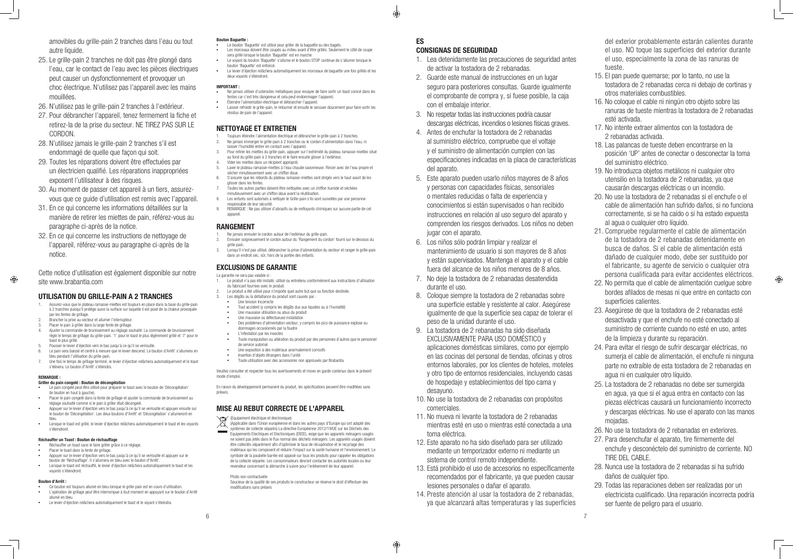amovibles du grille-pain 2 tranches dans l'eau ou tout autre liquide.

- 25. Le grille-pain 2 tranches ne doit pas être plongé dans l'eau, car le contact de l'eau avec les pièces électriques peut causer un dysfonctionnement et provoquer un choc électrique. N'utilisez pas l'appareil avec les mains mouillées.
- 26. N'utilisez pas le grille-pain 2 tranches à l'extérieur.
- 27. Pour débrancher l'appareil, tenez fermement la fiche et retirez-la de la prise du secteur. NE TIREZ PAS SUR LE CORDON.
- 28. N'utilisez jamais le grille-pain 2 tranches s'il est endommagé de quelle que façon qui soit.
- 29. Toutes les réparations doivent être effectuées par un électricien qualifié. Les réparations inappropriées exposent l'utilisateur à des risques.
- 30. Au moment de passer cet appareil à un tiers, assurezvous que ce guide d'utilisation est remis avec l'appareil.
- 31. En ce qui concerne les informations détaillées sur la manière de retirer les miettes de pain, référez-vous au paragraphe ci-après de la notice.
- 32. En ce qui concerne les instructions de nettoyage de l'appareil, référez-vous au paragraphe ci-après de la notice.

Cette notice d'utilisation est également disponible sur notre site www.brabantia.com

### UTILISATION DU GRILLE-PAIN A 2 TRANCHES

- **Réchauffer un toast sans le faire griller grâce à ce réglage.**
- **•**  Placer le toast dans la fente de grillage. **•**  Appuyer sur le levier d'éjection vers le bas jusqu'à ce qu'il se verrouille et appuyer sur le
- bouton de 'Réchauffage'. Il s'allumera en bleu avec le bouton d"Arrêt'. Lorsque le toast est réchauffé, le levier d'éjection relâchera automatiquement le toast et les
- voyants s'éteindront.
- 1. Assurez-vous que le plateau ramasse-miettes est toujours en place dans la base du grille-pain à 2 tranches puisqu'il protège aussi la surface sur laquelle il est posé de la chaleur provoquée par les fentes de grillage.
- 2. Brancher la prise au secteur et allumer l'interrupteur. Placer le pain à griller dans la large fente de grillage.
- 4. Ajuster la commande de brunissement au réglage souhaité. La commande de brunissement règle le temps de grillage du grille-pain. '1' pour le toast le plus légèrement grillé et '7' pour le toast le plus grillé.
- Pousser le levier d'éjection vers le bas jusqu'à ce qu'il se verrouille.
- Le pain sera baissé et centré à mesure que le levier descend. Le bouton d'Arrêt' s'allumera en bleu pendant l'utilisation du grille-pain.
- 7. Une fois le temps de grillage terminé, le levier d'éjection relâchera automatiquement et le toast s'élèvera. Le bouton d"Arrêt' s'éteindra.

#### **REMARQUE**

 $\bigoplus$ 

- Ce bouton est toujours allumé en bleu lorsque le grille-pain est en cours d'utilisation **•**  L'opération de grillage peut être interrompue à tout moment en appuyant sur le bouton d'Arrêt allumé en bleu.
- **•**  Le levier d'éjection relâchera automatiquement le toast et le voyant s'éteindra.
- Le bouton 'Baguette' est utilisé pour griller de la baguette ou des bagels.
- Les morceaux doivent être coupés au milieu avant d'être grillés. Seulement le côté de coupe sera grillé lorsque le bouton 'Baguette' est en marche
	- Le voyant du bouton 'Baguette' s'allume et le bouton STOP continue de s'allumer lorsque le bouton 'Baguette' est enfoncé.
- **•**  Le levier d'éjection relâchera automatiquement les morceaux de baguette une fois grillés et les deux voyants s'éteindront.

- 1. Toujours éteindre l'alimentation électrique et débrancher le grille-pain à 2 tranches. 2. Ne jamais immerger le grille-pain à 2 tranches ou le cordon d'alimentation dans l'eau, ni
- laisser l'humidité entrer en contact avec l'appareil.
- 3. Pour retirer les miettes du grille-pain, appuyer sur l'extrémité du plateau ramasse-miettes situé au fond du grille-pain à 2 tranches et le faire ensuite glisser à l'extérieur. 4. Vider les miettes dans un récipient approprié.
- 
- Laver le plateau ramasse-miettes à l'eau chaude savonneuse. Rincer avec de l'eau propre et sécher minutieusement avec un chiffon doux. 6. S'assurer que les rebords du plateau ramasse-miettes sont dirigés vers le haut avant de les
- glisser dans les fentes. 7. Toutes les autres parties doivent être nettoyées avec un chiffon humide et séchées
- minutieusement avec un chiffon doux avant la réutilisation. 8. Les enfants sont autorisés à nettoyer le Grille-pain s'ils sont surveillés par une personne
- responsable de leur sécurité. 9. REMARQUE : Ne pas utiliser d'abrasifs ou de nettoyants chimiques sur aucune partie de cet
- appareil

- Griller du pain congelé : Bouton de décongélation
- **•**  Le pain congelé peut être utilisé pour préparer le toast avec le bouton de 'Décongélation' (le bouton en haut à gauche).
- **•**  Placer le pain congelé dans la fente de grillage et ajuster la commande de brunissement au réglage souhaité comme si le pain à griller était décongelé.
- **•**  Appuyer sur le levier d'éjection vers le bas jusqu'à ce qu'il se verrouille et appuyer ensuite sur le bouton de 'Décongélation'. Les deux boutons d"Arrêt' et 'Décongélation' s'allumeront en bleu.
- **•**  Lorsque le toast est grillé, le levier d'éjection relâchera automatiquement le toast et les voyants s'éteindront.

#### Réchauffer un Toast : Bouton de réchauffage

- 1. Ne jamais enrouler le cordon autour de l'extérieur du grille-pain.<br>2. Enrouler soigneusement le cordon autour du 'Bangement du cor
- 2. Enrouler soigneusement le cordon autour du 'Rangement du cordon' fourni sur le dessous du grille-pain.
- 3. Lorsqu'il n'est pas utilisé, débrancher la prise d'alimentation du secteur et ranger le grille-pain dans un endroit sec, sûr, hors de la portée des enfants.

#### Bouton d'Arrêt :

#### Bouton Baguette :

#### IMPORTANT :

- **•**  Ne jamais utiliser d'ustensiles métalliques pour essayer de faire sortir un toast coincé dans les fentes car c'est très dangereux et cela peut endommager l'appareil. **•**  Éteindre l'alimentation électrique et débrancher l'appareil.
- **•**  Laisser refroidir le grille-pain, le retourner et ensuite le secouer doucement pour faire sortir les résidus de pain de l'appareil.

#### NETTOYAGE ET ENTRETIEN

### RANGEMENT

#### EXCLUSIONS DE GARANTIE

- La garantie ne sera pas valable si
- 1. Le produit n'a pas été installé, utilisé ou entretenu conformément aux instructions d'utilisation du fabricant fournies avec le produit.
- 2. Le produit a été utilisé pour n'importe quel autre but que sa fonction destinée.
- 3. Les dégâts ou la défaillance du produit sont causés par : **Une tension Incorrecte** 
	- Tout accident (y compris les dégâts dus aux liquides ou à l'humidité)
	- Une mauvaise utilisation ou abus du produit
- **•**  Une mauvaise ou défectueuse installation
- Des problèmes d'alimentation secteur, y compris les pics de puissance explose ou dommages occasionnés par la foudre
- **L'infestation par les insectes**
- Toute manipulation ou altération du produit par des personnes d'autres que le personnel de service autorisé
- **•**  Une exposition à des matériaux anormalement corrosifs
- **•**  Insertion d'objets étrangers dans l'unité **Foute utilisation avec des accessoires non approuvés par Brabantia**
- 

Veuillez consulter et respecter tous les avertissements et mises en garde contenus dans le présent mode d'emploi.

En raison du développement permanent du produit, les spécifications peuvent être modifiées sans préavis.

### MISE AU REBUT CORRECTE DE L'APPAREIL

(Equipement électrique et électronique)<br>(Applicable dans l'Union euronéenne et

(Applicable dans l'Union européenne et dans les autres pays d'Europe qui ont adopté des systèmes de collecte séparés) La directive Européenne 2012/19/UE sur les Déchets des Equipements Electriques et Electroniques (DEEE), exige que les appareils ménagers usagés ne soient pas jetés dans le flux normal des déchets ménagers. Les appareils usagés doivent être collectés séparément afin d'optimiser le taux de récupération et le recyclage des matériaux qui les composent et réduire l'impact sur la santé humaine et l'environnement. Le symbole de la poubelle barrée est apposé sur tous les produits pour rappeler les obligations de la collecte séparée. Les consommateurs devront contacter les autorités locales ou leur revendeur concernant la démarche à suivre pour l'enlèvement de leur appareil.

Photo non contractuelle

Soucieux de la qualité de ses produits le constructeur se réserve le droit d'effectuer des modifications sans préavis

#### ES CONSIGNAS DE SEGURIDAD

- 1. Lea detenidamente las precauciones de seguridad antes de activar la tostadora de 2 rebanadas.
- 2. Guarde este manual de instrucciones en un lugar seguro para posteriores consultas. Guarde igualmente el comprobante de compra y, si fuese posible, la caja con el embalaje interior.
- 3. No respetar todas las instrucciones podría causar descargas eléctricas, incendios o lesiones físicas graves.
- 4. Antes de enchufar la tostadora de 2 rebanadas al suministro eléctrico, compruebe que el voltaje y el suministro de alimentación cumplen con las especificaciones indicadas en la placa de características del aparato.
- 5. Este aparato pueden usarlo niños mayores de 8 años y personas con capacidades físicas, sensoriales o mentales reducidas o falta de experiencia y conocimientos si están supervisados o han recibido instrucciones en relación al uso seguro del aparato y comprenden los riesgos derivados. Los niños no deben jugar con el aparato.
- 6. Los niños sólo podrán limpiar y realizar el mantenimiento de usuario si son mayores de 8 años y están supervisados. Mantenga el aparato y el cable fuera del alcance de los niños menores de 8 años.
- 7. No deje la tostadora de 2 rebanadas desatendida durante el uso.
- 8. Coloque siempre la tostadora de 2 rebanadas sobre una superficie estable y resistente al calor. Asegúrese igualmente de que la superficie sea capaz de tolerar el peso de la unidad durante el uso.
- 9. La tostadora de 2 rebanadas ha sido diseñada EXCLUSIVAMENTE PARA USO DOMÉSTICO y aplicaciones domésticas similares, como por ejemplo en las cocinas del personal de tiendas, oficinas y otros entornos laborales, por los clientes de hoteles, moteles y otro tipo de entornos residenciales, incluyendo casas de hospedaje y establecimientos del tipo cama y desayuno.
- 10. No use la tostadora de 2 rebanadas con propósitos comerciales.
- 11. No mueva ni levante la tostadora de 2 rebanadas mientras esté en uso o mientras esté conectada a una toma eléctrica.
- 12. Este aparato no ha sido diseñado para ser utilizado mediante un temporizador externo ni mediante un sistema de control remoto independiente.
- 13. Está prohibido el uso de accesorios no específicamente recomendados por el fabricante, ya que pueden causar lesiones personales o dañar el aparato.
- 14. Preste atención al usar la tostadora de 2 rebanadas, ya que alcanzará altas temperaturas y las superficies

⊕

del exterior probablemente estarán calientes durante el uso. NO toque las superficies del exterior durante

- el uso, especialmente la zona de las ranuras de tueste.
- 15. El pan puede quemarse; por lo tanto, no use la tostadora de 2 rebanadas cerca ni debajo de cortinas y otros materiales combustibles.
- 16. No coloque el cable ni ningún otro objeto sobre las ranuras de tueste mientras la tostadora de 2 rebanadas esté activada.
- 17. No intente extraer alimentos con la tostadora de 2 rebanadas activada.
- 18. Las palancas de tueste deben encontrarse en la posición 'UP' antes de conectar o desconectar la toma del suministro eléctrico.
- 19. No introduzca objetos metálicos ni cualquier otro utensilio en la tostadora de 2 rebanadas, ya que causarán descargas eléctricas o un incendio.
- 20. No use la tostadora de 2 rebanadas si el enchufe o el cable de alimentación han sufrido daños, si no funciona correctamente, si se ha caído o si ha estado expuesta al agua o cualquier otro líquido.
- 21. Compruebe regularmente el cable de alimentación de la tostadora de 2 rebanadas detenidamente en busca de daños. Si el cable de alimentación está dañado de cualquier modo, debe ser sustituido por el fabricante, su agente de servicio o cualquier otra persona cualificada para evitar accidentes eléctricos.
- 22. No permita que el cable de alimentación cuelgue sobre bordes afilados de mesas ni que entre en contacto con superficies calientes.

- 23. Asegúrese de que la tostadora de 2 rebanadas esté desactivada y que el enchufe no esté conectado al suministro de corriente cuando no esté en uso, antes de la limpieza y durante su reparación.
- 24. Para evitar el riesgo de sufrir descargar eléctricas, no sumeria el cable de alimentación, el enchufe ni ninguna parte no extraíble de esta tostadora de 2 rebanadas en agua ni en cualquier otro líquido.
- 25. La tostadora de 2 rebanadas no debe ser sumergida en agua, ya que si el agua entra en contacto con las piezas eléctricas causará un funcionamiento incorrecto y descargas eléctricas. No use el aparato con las manos mojadas.
- 26. No use la tostadora de 2 rebanadas en exteriores.
- 27. Para desenchufar el aparato, tire firmemente del enchufe y desconéctelo del suministro de corriente. NO TIRE DEL CABLE.
- 28. Nunca use la tostadora de 2 rebanadas si ha sufrido daños de cualquier tipo.
- 29. Todas las reparaciones deben ser realizadas por un electricista cualificado. Una reparación incorrecta podría ser fuente de peligro para el usuario.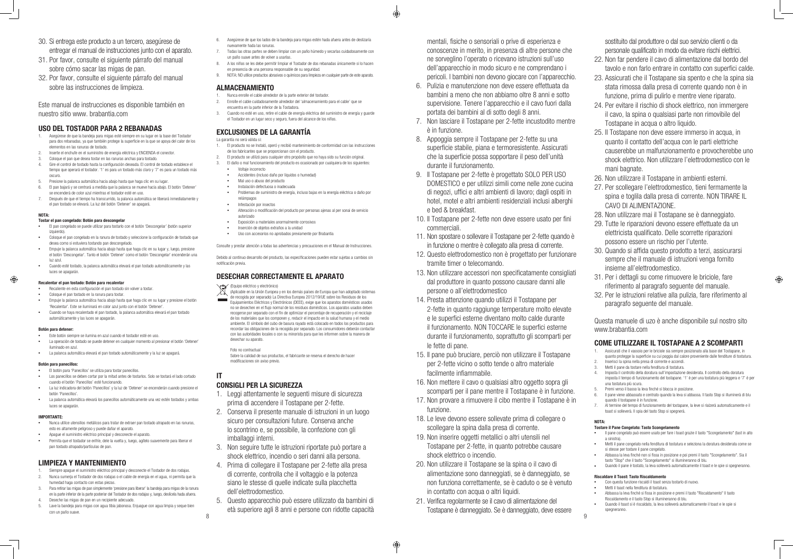- 30. Si entrega este producto a un tercero, asegúrese de entregar el manual de instrucciones junto con el aparato.
- 31. Por favor, consulte el siguiente párrafo del manual sobre cómo sacar las migas de pan.
- 32. Por favor, consulte el siguiente párrafo del manual sobre las instrucciones de limpieza.

Este manual de instrucciones es disponible también en nuestro sitio www. brabantia.com

#### USO DEL TOSTADOR PARA 2 REBANADAS

- 1. Asegúrese de que la bandeja para migas esté siempre en su lugar en la base del Tostador para dos rebanadas, ya que también protege la superficie en la que se apoya del calor de los elementos en las ranuras de tostado.
- Inserte el enchufe en el suministro de energía eléctrica y ENCIENDA el conector.
- 3. Coloque el pan que desea tostar en las ranuras anchas para tostado. 4. Gire el control de tostado hasta la configuración deseada. El control de tostado establece el tiempo que operará el tostador. '1' es para un tostado más claro y '7' es para un tostado más oscuro.
- 5. Presione la palanca automática hacia abajo hasta que haga clic en su lugar.
- 6. El pan bajará y se centrará a medida que la palanca se mueve hacia abajo. El botón 'Detener' se encenderá de color azul mientras el tostador esté en uso.
- 7. Después de que el tiempo ha transcurrido, la palanca automática se liberará inmediatamente y el pan tostado se elevará. La luz del botón 'Detener' se apagará.

#### NOTA:

#### Recalentar el pan tostado: Botón para recalentar Recaliente en esta configuración el pan tostado sin volver a tostar.

#### Tostar el pan congelado: Botón para descongelar

- **•**  El pan congelado se puede utilizar para tostarlo con el botón 'Descongelar' (botón superior izquierdo).
- **•**  Coloque el pan congelado en la ranura de tostado y seleccione la configuración de tostado que desea como si estuviera tostando pan descongelado.
- **•**  Empuje la palanca automática hacia abajo hasta que haga clic en su lugar y, luego, presione el botón 'Descongelar'. Tanto el botón 'Detener' como el botón 'Descongelar' encenderán una luz azul.
- **•**  Cuando esté tostado, la palanca automática elevará el pan tostado automáticamente y las luces se apagarán.

### $\bigoplus$

- **•**  Coloque el pan tostado en la ranura para tostar.
- **•**  Empuje la palanca automática hacia abajo hasta que haga clic en su lugar y presione el botón 'Recalentar'. Este se iluminará en color azul junto con el botón 'Detener'.
- **•**  Cuando se haya recalentado el pan tostado, la palanca automática elevará el pan tostado automáticamente y las luces se apagarán.

#### Botón para detener:

- Este botón siempre se ilumina en azul cuando el tostador esté en uso.
- **•**  La operación de tostado se puede detener en cualquier momento al presionar el botón 'Detener' iluminado en azul.
- La palanca automática elevará el pan tostado automáticamente y la luz se apagará.

#### Botón para panecillos:

- **•**  El botón para 'Panecillos' se utiliza para tostar panecillos.
- Los panecillos se deben cortar por la mitad antes de tostarlos. Solo se tostará el lado cortado cuando el botón 'Panecillos' esté funcionando.
- **•**  La luz indicadora del botón 'Panecillos' y la luz de 'Detener' se encenderán cuando presione el botón 'Panecillos'.
- La palanca automática elevará los panecillos automáticamente una vez estén tostados y ambas luces se apagarán.

#### IMPORTANTE:

- **•**  Nunca utilice utensilios metálicos para tratar de extraer pan tostado atrapado en las ranuras, esto es altamente peligroso y puede dañar el aparato.
- **•**  Apague el suministro eléctrico principal y desconecte el aparato.
- Permita que el tostador se enfríe, dele la vuelta y, luego, agítelo suavemente para liberar el pan tostado atrapado/partículas de pan.

(Equipo eléctrico y electrónico)<br>(Anlicable en la Unión Europea (Aplicable en la Unión Europea y en los demás países de Europa que han adoptado sistemas de recogida por separado) La Directiva Europea 2012/19/UE sobre los Residuos de los Equipamientos Eléctricos y Electrónicos (DEEE), exige que los aparatos domésticos usados no se desechen en el flujo normal de los residuos domésticos. Los aparatos usados deben recogerse por separado con el fin de optimizar el porcentaje de recuperación y el reciclaje de los materiales que los componen y, reducir el impacto en la salud humana y el medio ambiente. El símbolo del cubo de basura rayado está colocado en todos los productos para recordar las obligaciones de la recogida por separado. Los consumidores deberán contactar con las autoridades locales o con su minorista para que les informen sobre la manera de desechar su aparato.

### LIMPIEZA Y MANTENIMIENTO

- 1. Siempre apague el suministro eléctrico principal y desconecte el Tostador de dos rodajas. 2. Nunca sumerja el Tostador de dos rodajas o el cable de energía en el agua, ni permita que la humedad haga contacto con estas piezas.
- 3. Para retirar las migas de pan simplemente 'presione para liberar' la bandeja para migas de la ranura en la parte inferior de la parte posterior del Tostador de dos rodajas y, luego, deslícela hada afuera. 4. Deseche las migas de pan en un recipiente adecuado.
- Lave la bandeja para migas con agua tibia jabonosa. Enjuague con agua limpia y seque bien con un paño suave.
- 6. Asegúrese de que los lados de la bandeja para migas estén hada afuera antes de deslizaría nuevamente hada las ranuras.
- 7. Todas las otras partes se deben limpiar con un paño húmedo y secarlas cuidadosamente con un paño suave antes de volver a usarlas.
- 8. A los niños se les debe permitir limpiar el Tostador de dos rebanadas únicamente si lo hacen en presencia de una persona responsable de su seguridad.
- 9. NOTA: NO utilice productos abrasivos o químicos para limpieza en cualquier parte de este aparato.

### ALMACENAMIENTO

- 1. Nunca enrolle el cable alrededor de la parte exterior del tostador.
- 2. Enrolle el cable cuidadosamente alrededor del 'almacenamiento para el cable' que se encuentra en la parte inferior de la Tostadora.
- 3. Cuando no esté en uso, retire el cable de energía eléctrica del suministro de energía y guarde el Tostador en un lugar seco y seguro, fuera del alcance de los niños.

### EXCLUSIONES DE LA GARANTÍA

La garantía no será válida si:

- 1. El producto no se Instaló, operó y recibió mantenimiento de conformidad con las instrucciones de los fabricantes que se proporcionan con el producto.
- 2. El producto se utilizó para cualquier otro propósito que no haya sido su función original.
- 3. El daño o mal funcionamiento del producto es ocasionado por cualquiera de los siguientes: **•**  Voltaje incorrecto
	- **•**  Accidentes (incluso daño por líquidos o humedad)
	- **•**  Mal uso o abuso del producto
	- **•**  Instalación defectuosa o inadecuada
	- **•**  Problemas de suministro de energía, incluso bajas en la energía eléctrica o daño por relámpagos
	- **•**  Infestación por insectos
	- Alteración o modificación del producto por personas ajenas al per sonai de servicio autorizado
	- **•**  Exposición a materiales anormalmente corrosivos
	- **•**  Inserción de objetos extraños a la unidad
	- **•**  Uso con accesorios no aprobados previamente por Brabantia

Consulte y prestar atención a todas las advertencias y precauciones en el Manual de Instrucciones.

Debido al continuo desarrollo del producto, las especificaciones pueden estar sujetas a cambios sin notificación previa.

### DESECHAR CORRECTAMENTE EL APARATO

- **•**  Il pane congelato può essere usato per fare i toast grazie il tasto "Scongelamento" (tast in alto a sinistra).
- **•**  Metti iI pane congelato nella fenditura di tostatura e seleziona la doratura desiderata come se si stesse per tostare il pane congelato.
- **•**  Abbassa la leva finché non si fissa in posizione e poi premi il tasto "Scongelamento". Sia il tasto "Stop" che il tasto "Scongelamento" si illumineranno di blu.
- Quando il pane è tostato, la leva solleverà automaticamente il toast e le spie si spegneranno.

Foto no contractual

Sobre la calidad de sus productos, el fabricante se reserva el derecho de hacer modificaciones sin aviso previo.

### IT

### CONSIGLI PER LA SICUREZZA

- 1. Leggi attentamente le seguenti misure di sicurezza prima di accendere il Tostapane per 2-fette.
- 2. Conserva il presente manuale di istruzioni in un luogo sicuro per consultazioni future. Conserva anche lo scontrino e, se possibile, la confezione con gli imballaggi interni.
- 3. Non seguire tutte le istruzioni riportate può portare a shock elettrico, incendio o seri danni alla persona.
- 4. Prima di collegare il Tostapane per 2-fette alla presa di corrente, controlla che il voltaggio e la potenza siano le stesse di quelle indicate sulla placchetta dell'elettrodomestico.
- 8 a v de la construction de la construction de la construction de la construction de la construction de la con<br>Desenvolvement de la construction de la construction de la construction de la construction de la construction 5. Questo apparecchio può essere utilizzato da bambini di età superiore agli 8 anni e persone con ridotte capacità
- 6. Pulizia e manutenzione non deve essere effettuata da bambini a meno che non abbiamo oltre 8 anni e sotto supervisione. Tenere l'apparecchio e il cavo fuori dalla portata dei bambini al di sotto degli 8 anni.
- 7. Non lasciare il Tostapane per 2-fette incustodito mentre è in funzione.
- 8. Appoggia sempre il Tostapane per 2-fette su una superficie stabile, piana e termoresistente. Assicurati che la superficie possa sopportare il peso dell'unità durante il funzionamento.
- 9. Il Tostapane per 2-fette è progettato SOLO PER USO DOMESTICO e per utilizzi simili come nelle zone cucina di negozi, uffici e altri ambienti di lavoro; dagli ospiti in hotel, motel e altri ambienti residenziali inclusi alberghi e bed & breakfast.
- 10. Il Tostapane per 2-fette non deve essere usato per fini commerciali.
- 11. Non spostare o sollevare il Tostapane per 2-fette quando è in funzione o mentre è collegato alla presa di corrente.
- 12. Questo elettrodomestico non è progettato per funzionare tramite timer o telecomando.
- 13. Non utilizzare accessori non specificatamente consigliati dal produttore in quanto possono causare danni alle persone o all'elettrodomestico
- 14. Presta attenzione quando utilizzi il Tostapane per 2-fette in quanto raggiunge temperature molto elevate e le superfici esterne diventano molto calde durante il funzionamento. NON TOCCARE le superfici esterne durante il funzionamento, soprattutto gli scomparti per le fette di pane.
- 15. Il pane può bruciare, perciò non utilizzare il Tostapane per 2-fette vicino o sotto tende o altro materiale facilmente infiammabile.
- 16. Non mettere il cavo o qualsiasi altro oggetto sopra gli scomparti per il pane mentre il Tostapane è in funzione.
- 17. Non provare a rimuovere il cibo mentre il Tostapane è in funzione.
- 18. Le leve devono essere sollevate prima di collegare o scollegare la spina dalla presa di corrente.
- 19. Non inserire oggetti metallici o altri utensili nel Tostapane per 2-fette, in quanto potrebbe causare shock elettrico o incendio.
- 20. Non utilizzare il Tostapane se la spina o il cavo di alimentazione sono danneggiati, se è danneggiato, se non funziona correttamente, se è caduto o se è venuto in contatto con acqua o altri liquidi.
- 21. Verifica regolarmente se il cavo di alimentazione del Tostapane è danneggiato. Se è danneggiato, deve essere

⊕

mentali, fisiche o sensoriali o prive di esperienza e conoscenze in merito, in presenza di altre persone che ne sorveglino l'operato o ricevano istruzioni sull'uso dell'apparecchio in modo sicuro e ne comprendano i pericoli. I bambini non devono giocare con l'apparecchio. sostituito dal produttore o dal suo servizio clienti o da personale qualificato in modo da evitare rischi elettrici. 22. Non far pendere il cavo di alimentazione dal bordo del 23. Assicurati che il Tostapane sia spento e che la spina sia

- tavolo e non farlo entrare in contatto con superfici calde.
- stata rimossa dalla presa di corrente quando non è in funzione, prima di pulirlo e mentre viene riparato.
	- 24. Per evitare il rischio di shock elettrico, non immergere il cavo, la spina o qualsiasi parte non rimovibile del Tostapane in acqua o altro liquido.
	- 25. Il Tostapane non deve essere immerso in acqua, in quanto il contatto dell'acqua con le parti elettriche causerebbe un malfunzionamento e provocherebbe uno shock elettrico. Non utilizzare l'elettrodomestico con le mani bagnate.
	- 26. Non utilizzare il Tostapane in ambienti esterni.
	- 27. Per scollegare l'elettrodomestico, tieni fermamente la spina e toglila dalla presa di corrente. NON TIRARE IL CAVO DI ALIMENTAZIONE.
	- 28. Non utilizzare mai il Tostapane se è danneggiato.
	- 29. Tutte le riparazioni devono essere effettuate da un elettricista qualificato. Delle scorrette riparazioni possono essere un rischio per l'utente.
	- 30. Quando si affida questo prodotto a terzi, assicurarsi sempre che il manuale di istruzioni venga fornito insieme all'elettrodomestico.
	- 31. Per i dettagli su come rimuovere le briciole, fare riferimento al paragrafo seguente del manuale.
	- 32. Per le istruzioni relative alla pulizia, fare riferimento al paragrafo seguente del manuale.

 $\bigoplus$ 

Questa manuele di uzo è anche disponibile sul nostro sito www.brabantia.com

### COME UTILIZZARE IL TOSTAPANE A 2 SCOMPARTI

- 1. Assicurati che il vassoio per le briciole sia sempre posizionato alla base del Tostapane, in quanto protegge la superficie su cui poggia dal calore proveniente dalle fenditure di tostatura.
- 2. Inserisci la spina nella presa di corrente e accendi.
- 3. Metti il pane da tostare nella fenditura di tostatura. 4. Imposta il controllo della doratura sull'impostazione desiderata. Il controllo della doratura
- imposta il tempo di funzionamento del tostapane. '1' è per una tostatura più leggera e '7' è per una tostatura più scura.
- 5. Premi verso il basso la leva finché si blocca in posizione.
- 6. Il pane viene abbassato e centrato quando la leva si abbassa. Il tasto Stop si illuminerà di blu quando il tostapane è in funzione.
- 7. Al termine del tempo di funzionamento del tostapane, la leve si rialzerà automaticamente e il toast si solleverà. Il spia del tasto Stop si spegnerà.

#### NOTA:

#### Tostare il Pane Congelato: Tasto Scongelamento

#### Riscaldare il Toast: Tasto Riscaldamento

- **•**  Con questa funzione riscaldi il toast senza tostarlo di nuovo.
- **•**  Metti il toast nella fenditura di tostatura.
- **•**  Abbassa la leva finché si fissa in posizione e premi il tasto "Riscaldamento" Il tasto Riscaldamento e il tasto Stop si illumineranno di blu.
- **•**  Quando il toast si è riscaldato, la leva solleverà automaticamente il toast e le spie si spegneranno.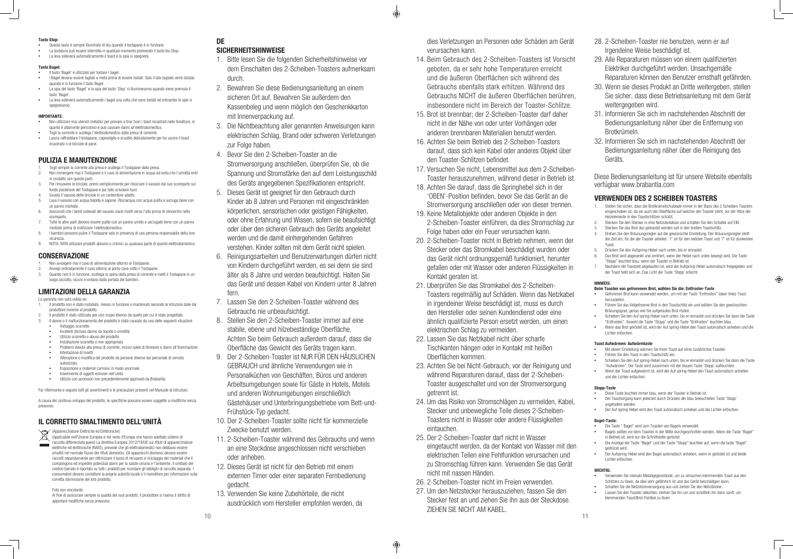- **•**  Questo tasto è sempre illuminato di blu quando il tostapane è in funzione.
- **•**  La tostatura può essere interrotta in qualsiasi momento premendo il tasto blu Stop. **•**  La leva solleverà automaticamente il toast e la spia si spegnerà.
- Tasto Bagel:
- **•**  Il tasto 'Bagel' è utilizzato per tostare i bagel.
- **•**  I Bagel devono essere tagliati a metà prima di essere tostati. Solo il lato tagliato verrà tostato quando è in funzione il tasto Bagel.
- La spia del tasto 'Bagel' e la spia del tasto 'Stop' si illumineranno quando viene premuto il tasto 'Bagel'.
- La leva solleverà automaticamente i bagel una volta che sono tostati ed entrambe le spie si spegneranno.

#### Tasto Stop:

#### IMPORTANTE:

- **•**  Non utilizzare mai utensili metallici per provare a tirar fuori i toast incastrati nelle fenditure, in quanto è altamente pericoloso e può causare danni all'elettrodomestico.
- **•**  Togli la corrente e scollega l'elettrodomestico dalla presa di corrente.
- **•**  Lascia raffreddare il tostapane, capovolgilo e scuotilo delicatamente per far uscire il toast incastrato o le briciole di pane.

#### PULIZIA E MANUTENZIONE

- 1. Togli sempre la corrente alla presa e scollega il Tostapane dalla presa.
- 2. Non immergere mai il Tostapane o il cavo di alimentazione in acqua ed evita che l'umidità entri in contatto con queste parti.
- 3. Per rimuovere le briciole, premi semplicemente per rilasciare il vassoio dal suo scomparto sul fondo posteriore del Tostapane e poi fallo scivolare fuori. Svuota il vassoio delle briciole in un contenitore adatto.
- 5. Lava il vassoio con acqua tiepida e sapone. Risciacqua con acqua pulita e asciuga bene con un panno morbido.
- 6. Assicurati che i bordi sollevati del vassoio siano rivolti verso l'alto prima di reinserirlo nello scomparto.
- 7. Tutte le altre parti devono essere pulite con un panno umido e asciugate bene con un panno morbido prima di riutilizzare l'elettrodomestico.
- 8. I bambini possono pulire il Tostapane solo in presenza di una persona responsabile della loro sicurezza.
- 9. NOTA: NON utilizzare prodotti abrasivi o chimici su qualsiasi parte di questo elettrodomestico.

#### (Apparecchiature Elettriche ed Elettroniche)  $\boxtimes$

#### CONSERVAZIONE

 $\bigoplus$ 

- 1. Non avvolgere mai il cavo di alimentazione attorno al Tostapane.
- 2. Avvolgi ordinatamente il cavo attorno al porta-cavo sotto il Tostapane. 3. Quando non è in funzione, scollega la spina dalla presa di corrente e metti il Tostapane in un
- luogo asciutto, sicuro e lontano dalla portata dei bambini.

### LIMITAZIONI DELLA GARANZIA

- La garanzia non sarà valida se:
- 1. Il prodotto non è stato installato, messo in funzione o mantenuto secondo le istruzioni date dal produttore insieme al prodotto. 2. Il prodotto è stato utilizzato per uno scopo diverso da quello per cui è stato progettato.
- Il danno o il malfunzionamento del prodotto è stato causato da una delle sequenti situazioni
- **•**  Voltaggio scorretto
- **•**  Incidenti (Incluso danno da liquido o umidità)
- Utilizzo scorretto o abuso del prodotto<br>• lostallazione scorretta o non appropria
- **•**  Installazione scorretta o non appropriata **•**  Problemi dovuta alla presa di corrente, inclusi spike di tensione e danni all'illuminazione
- **•**  Infestazione di insetti
- **•**  Alterazione o modifica del prodotto da persone diverse dal personale di servizio
- autorizzato. **•**  Esposizione a materiali corrosivi in modo anormale
- **•**  Inserimento di oggetti estranei nell'unità
- **•**  Utilizzo con accessori non precedentemente approvati da Brabantia.

Far riferimento e seguire tutti gli avvertimenti e le precauzioni presenti nel Manuale di Istruzioni.

A causa del continuo sviluppo del prodotto, le specifiche possono essere soggette a modifiche senza preavviso.

### IL CORRETTO SMALTIMENTO DELL'UNITÀ

(Applicabile nell'Unione Europea e nel resto d'Europa che hanno adottato sistemi di raccolta differenziata paesi) La direttiva Europea 2012/19/UE sui rifiuti di apparecchiature  $\sim$ elettriche ed elettroniche (RAEE), prevede che gli elettrodomestici non debbano essere smaltiti nel normale flusso dei rifiuti domestici. Gli apparecchi dismessi devono essere raccolti separatamente per ottimizzare il tasso di recupero e riciclaggio dei materiali che li compongono ed impedire potenziali danni per la salute umana e l'ambiente. Il simbolo del cestino barrato è riportato su tutti i prodotti per ricordare gli obblighi di raccolta separata. I consumatori devono contattare la propria autorità locale o il rivenditore per informazioni sulla corretta dismissione del loro prodotto.

#### Foto non vincolante

Al fine di assicurare sempre la qualità dei suoi prodotti, il produttore si riserva il diritto di apportare modifiche senza preavviso.

### DE

### SICHERHEITSHINWEISE

- 1. Bitte lesen Sie die folgenden Sicherheitshinweise vor dem Einschalten des 2-Scheiben-Toasters aufmerksam durch.
- 2. Bewahren Sie diese Bedienungsanleitung an einem sicheren Ort auf. Bewahren Sie außerdem den Kassenbeleg und wenn möglich den Geschenkkarton mit Innenverpackung auf.
- 3. Die Nichtbeachtung aller genannten Anweisungen kann elektrischen Schlag, Brand oder schweren Verletzungen zur Folge haben.
- 4. Bevor Sie den 2-Scheiben-Toaster an die Stromversorgung anschließen, überprüfen Sie, ob die Spannung und Stromstärke den auf dem Leistungsschild des Geräts angegebenen Spezifikationen entspricht.
- 5. Dieses Gerät ist geeignet für den Gebrauch durch Kinder ab 8 Jahren und Personen mit eingeschränkten körperlichen, sensorischen oder geistigen Fähigkeiten, oder ohne Erfahrung und Wissen, sofern sie beaufsichtigt oder über den sicheren Gebrauch des Geräts angeleitet werden und die damit einhergehenden Gefahren verstehen. Kinder sollten mit dem Gerät nicht spielen.
- 6. Reinigungsarbeiten und Benutzerwartungen dürfen nicht von Kindern durchgeführt werden, es sei denn sie sind älter als 8 Jahre und werden beaufsichtigt. Halten Sie das Gerät und dessen Kabel von Kindern unter 8 Jahren fern.
- 7. Lassen Sie den 2-Scheiben-Toaster während des Gebrauchs nie unbeaufsichtigt.
- 8. Stellen Sie den 2-Scheiben-Toaster immer auf eine stabile, ebene und hilzebeständige Oberfläche. Achten Sie beim Gebrauch außerdem darauf, dass die Oberfläche das Gewicht des Geräts tragen kann.
- 9. Der 2-Scheiben-Toaster ist NUR FÜR DEN HÄUSLICHEN GEBRAUCH und ähnliche Verwendungen wie in Personalküchen von Geschäften, Büros und anderen Arbeltsumgebungen sowie für Gäste in Hotels, Motels und anderen Wohnumgebungen einschließlich Gästehäuser und Unterbringungsbetriebe vom Bett-und-Frühstück-Typ gedacht.
- 10. Der 2-Scheiben-Toaster sollte nicht für kommerzielle Zwecke benutzt werden.
- 11. 2-Scheiben-Toaster während des Gebrauchs und wenn an eine Steckdose angeschlossen nicht verschieben oder anheben.
- 12. Dieses Gerät ist nicht für den Betrieb mit einem externen Timer oder einer separaten Fernbedienung gedacht.
- 13. Verwenden Sie keine Zubehörteile, die nicht ausdrücklich vom Hersteller empfohlen werden, da
- Führen Sie das tiefgefrorene Brot in den Toastschlitz ein und wählen Sie den gewünschten Bränungsgrad, genau wie Sie aufgetautes Brot rösten.
- **•**  Schieben Sie den Auf spring-Hebel nach unten, bis er einrastet und drücken Sie dann die Taste "Entfrosten". Sowohl die Taste "Stopp" und die Taste "Entfrosten" leuchten blau.
- **•**  Wenn das Brot geröstet ist, wird der Auf spring-Hebel den Toast automatisch anheben und die Lichter erlöschen.

- **•**  Diese Taste leuchtet immer blau, wenn der Toaster in Betrieb ist.
- **•**  Der Toastvorgang kann jederzeit durch Drücken der blau beleuchteten Taste 'Stopp' angehalten werden.
- **•** Der Auf spring-Hebel wird den Toast automatisch anheben und die Lichter erlöschen

- **Die Taste " Bagel" wird zum Toasten von Bagels verwendet**
- **•**  Bagels sollten vor dem Toasten in der Mitte durchgeschnitten werden. Wenn die Taste "Bagel" in Betrieb ist, wird nur die Schnittstelle geröstet
- **•**  Die Anzeige der Taste "Bagel" und der Taste "Stopp" leuchten auf, wenn die taste "Bagel" gedrückt wird.
- Der Aufspring-Hebel wird den Bagel automatisch anheben, wenn er geröstet ist und beide Lichter erlöschen.

dies Verletzungen an Personen oder Schäden am Gerät verursachen kann.

♦

- 14. Beim Gebrauch des 2-Scheiben-Toasters ist Vorsicht geboten, da er sehr hohe Temperaturen erreicht und die äußeren Oberflächen sich während des Gebrauchs ebenfalls stark erhitzen. Während des Gebrauchs NICHT die äußeren Oberflächen berühren, insbesondere nicht im Bereich der Toaster-Schlitze.
- 15. Brot ist brennbar; der 2-Scheiben-Toaster darf daher nicht in der Nähe von oder unter Vorhängen oder anderen brennbaren Materialien benutzt werden.
- 16. Achten Sie beim Betrieb des 2-Scheiben-Toasters darauf, dass sich kein Kabel oder anderes Objekt über den Toaster-Schlitzen befindet.
- 17. Versuchen Sie nicht, Lebensmittel aus dem 2-Scheiben-Toaster herauszunehmen, während dieser in Betrieb ist. Diese Bedienungsanleitung ist für unsere Website ebenfalls verfügbar www.brabantia.com
- 18. Achten Sie darauf, dass die Springhebel sich in der 'OBEN'-Position befinden, bevor Sie das Gerät an die Stromversorgung anschließen oder von dieser trennen.
- 19. Keine Metallobjekte oder anderen Objekte in den 2-Scheiben-Toaster einführen, da dies Stromschlag zur Folge haben oder ein Feuer verursachen kann.
- 20. 2-Scheiben-Toaster nicht in Betrieb nehmen, wenn der Stecker oder das Stromkabel beschädigt wurden oder das Gerät nicht ordnungsgemäß funktioniert, herunter gefallen oder mit Wasser oder anderen Flüssigkeiten in Kontakt geraten ist.
- 21. Uberprüfen Sie das Stromkabel des 2-Scheiben-Toasters regelmäßig auf Schäden. Wenn das Netzkabel in irgendeiner Weise beschädigt ist, muss es durch den Hersteller oder seinen Kundendienst oder eine ähnlich qualifizierte Person ersetzt werden, um einen elektrischen Schlag zu vermeiden.
- 22. Lassen Sie das Netzkabel nicht über scharfe Tischkanten hängen oder in Kontakt mit heißen Oberflächen kommen.
- 23. Achten Sie bei Nicht-Gebrauch, vor der Reinigung und während Reparaturen darauf, dass der 2-Scheiben-Toaster ausgeschaltet und von der Stromversorgung getrennt ist.
- 24. Um das Risiko von Stromschlägen zu vermelden, Kabel, Stecker und unbewegliche Teile dieses 2-Scheiben-Toasters nicht in Wasser oder andere Flüssigkeiten eintauchen.
- 25. Der 2-Scheiben-Toaster darf nicht in Wasser eingetaucht werden, da der Kontakt von Wasser mit den elektrischen Teilen eine Fehlfunktion verursachen und zu Stromschlag führen kann. Verwenden Sie das Gerät nicht mit nassen Händen.
- 26. 2-Scheiben-Toaster nicht im Freien verwenden.

⊕

27. Um den Netzstecker herauszuziehen, fassen Sie den Stecker fest an und ziehen Sie ihn aus der Steckdose. ZIEHEN SIE NICHT AM KABEL.

- 28. 2-Scheiben-Toaster nie benutzen, wenn er auf Irgendeine Weise beschädigt ist.
	- 29. Alle Reparaturen müssen von einem qualifizierten Elektriker durchgeführt werden. Unsachgemäße Reparaturen können den Benutzer ernsthaft gefährden.
- 30. Wenn sie dieses Produkt an Dritte weitergeben, stellen Sie sicher, dass diese Betriebsanleitung mit dem Gerät weitergegeben wird.
	- 31. Informieren Sie sich im nachstehenden Abschnitt der Bedienungsanleitung näher über die Entfernung von Brotkrümeln.
	- 32. Informieren Sie sich im nachstehenden Abschnitt der Bedienungsanleitung näher über die Reinigung des Geräts.

### VERWENDEN DES 2 SCHEIBEN TOASTERS

- 1. Stellen Sie sicher, dass die Brotkrümelschublade immer in der Basis des 2 Scheiben-Toasters eingeschoben ist, da sie auch die Oberfläche auf welcher der Toaster steht, vor der Hitze der Heizelemente in den Toastschlitzen schützt.
	- 2. Stecken Sie den Stecker in eine Netzsteckdose und schalten Sie den Schalter auf EIN.<br>2. Stecken Sie das Brot das getoastet werden soll in den breiten Toastschlitz
	- 3. Stecken Sie das Brot das getoastet werden soll in den breiten Toastschlitz.
	- 4. Drehen Sie den Bräunungsregler auf die gewünschte Einstellung. Der Bräunungsregler stellt die Zeit ein, für die der Toaster arbeitet. '1' ist für den hellsten Toast und '7' ist für dunkelsten Toast.
	- 5. Drücken Sie den Aufspring-Hebel nach unten, bis er einrastet.
	- 6. Das Brot wird abgesenkt und zentriert, wenn der Hebel nach unten bewegt wird. Die Taste "Stopp" leuchtet blau, wenn der Toaster in Betrieb ist.
- 7. Nachdem die Toastzeit abgelaufen ist, wird der Aufspring-Hebel automatisch freigegeben und der Toast hebt sich an. Das Licht der Taste 'Stopp' erlischt.

#### HINWEIS:

#### Beim Toasten von gefrorenem Brot, wählen Sie die: Entfroster-Taste

**•**  Gefrorenes Brot kann verwendet werden, um mit der Taste "Entfrosten" (oben links) Toast herzustellen.

⊕

#### Toast Aufwärmen: Aufwärmtaste

- **•**  Mit dieser Einstellung wärmen Sie Ihren Toast auf ohne zusätzliches Toasten.
- **•**  Führen Sie den Toast in den Toastschlitz ein.
- **•**  Schieben Sie den Auf spring-Hebel nach unten, bis er einrastet und drücken Sie dann die Taste "Aufwärmen". Die Taste wird zusammen mit der blauen Taste 'Stopp' aufleuchten.
- **•**  Wenn der Toast aufgewärmt ist, wird der Auf spring-Hebel den Toast automatisch anheben und die Lichter erlöschen.

#### Stopp-Taste

#### Bagel-Taste:

#### WICHTIG:

- **•**  Verwenden Sie niemals Metallgegenstände, um zu versuchen klemmenden Toast aus den Schlitzen zu lösen, da dies sehr gefährlich ist und das Gerät beschädigen kann.
- **•**  Schalten Sie die Netzstromversorgung aus und ziehen Sie den Netzstecker.
- **•**  Lassen Sie den Toaster abkühlen, drehen Sie ihn um und schütteln ihn dann sanft, um klemmenden Toast/Brot-Partikel zu lösen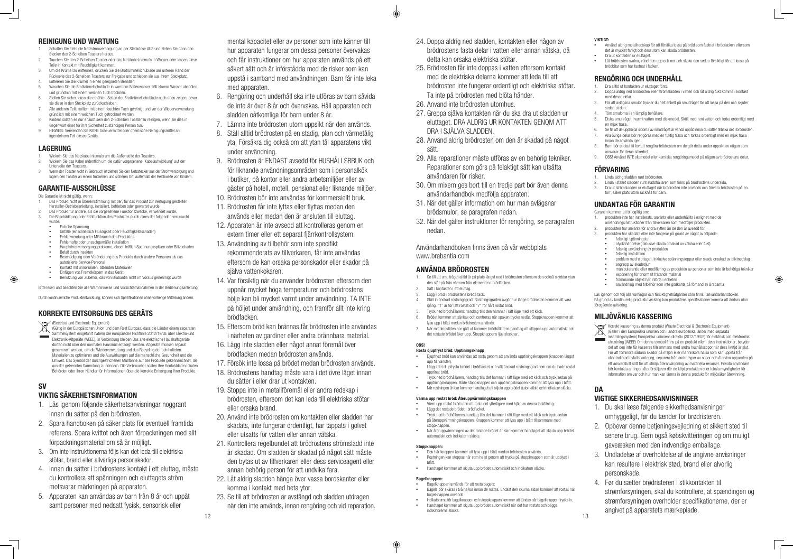### REINIGUNG UND WARTUNG

- 1. Wickeln Sie das Netzkabel niemals um die Außenseite der Toasters. 2. Wickeln Sie das Kabel ordentlich um die dafür vorgesehene 'Kabelaufwicklung' auf der
- Unterseite der Toasters. 3. Wenn der Toaster nicht in Gebrauch ist ziehen Sie den Netzstecker aus der Stromversorgung und
- lagern den Toaster an einem trockenen und sicheren Ort, außerhalb der Reichweite von Kindern
- 1. Schalten Sie stets die Netzstromversorgung an der Steckdose AUS und ziehen Sie dann den Stecker des 2-Scheiben Toasters heraus.
- 2. Tauchen Sie den 2-Scheiben Toaster oder das Netzkabel niemals in Wasser oder lassen diese Teile in Kontakt mit Feuchtigkeit kommen.
- 3. Um die Krümel zu entfernen, drücken Sie die Brotrümmelschublade am unteren Rand der Rückseite des 2-Scheiben Toasters zur Freigabe und schieben sie aus ihrem Steckplatz. 4. Entleeren Sie die Krümel in einen geeigneten Behälter.
- 5. Waschen Sie die Brotkrümelschublade in warmem Seifenwasser. Mit klarem Wasser abspülen und gründlich mit einem weichen Tuch trocknen.
- 6. Stellen Sie sicher, dass die erhöhten Seiten der Brotkrümelschublade nach oben zeigen, bevor sie diese in den Steckplatz zurückschieben. 7. Alle anderen Teile sollten mit einem feuchten Tuch gereinigt und vor der Wiederverwendung
- gründlich mit einem weichen Tuch getrocknet werden. 8. Kindern sollten es nur erlaubt sein den 2-Scheiben Toaster zu reinigen, wenn sie dies in
- Gegenwart einer für ihre Sicherheit zuständigen Person tun.
- 9. HINWEIS: Verwenden Sie KEINE Scheuermittel oder chemische Reinigungsmittel an irgendeinem Teil dieses Geräts.

### LAGERUNG

### GARANTIE-AUSSCHLÜSSE

Die Garantie ist nicht gültig, wenn:

(Electrical and Electronic Equipment)<br>(Gültig in der Europäischen Union und (Gültig in der Europäischen Union und dem Rest Europas, dass die Länder einem separaten Sammelsystem eingeführt haben) Die europäische Richtlinie 2012/19/UE über Elektro-und Elektronik-Altgeräte (WEEE), in Verbindung bleiben Das alte elektrische Haushaltsgeräte dürfen nicht über den normalen Hausmüll entsorgt werden. Altgeräte müssen separat gesammelt werden, um die Wiederverwertung und das Recycling der beinhalteten Materialien zu optimieren und die Auswirkungen auf die menschliche Gesundheit und die Umwelt. Das Symbol der durchgestrichenen Mülltonne auf alle Produkte gekennzeichnet, die aus der getrennten Sammlung zu erinnern. Die Verbraucher sollten ihre Kontaktdaten lokalen Behörden oder Ihren Händler für Informationen über die korrekte Entsorgung ihrer Produkte.

- 1. Das Produkt nicht in Übereinstimmung mit der, für das Produkt zur Verfügung gestellten Hersteller-Betriebsanleitung, installiert, betrieben oder gewartet wurde.
- 2. Das Produkt für andere, als die vorgesehene Funktionszwecke, verwendet wurde. 3. Die Beschädigung oder Fehlfunktion des Produktes durch eines der folgenden verursacht
- wurde: **Falsche Spannung**
- **•**  Unfälle (einschließlich Flüssigkeit oder Feuchtigkeitsschäden)
- **Fehlanwendung oder Mißbrauch des Produktes**
- Fehlerhafte oder unsachgemäße Installation
- **•**  Hauptstromversorgungsprobleme, einschließlich Spannungsspitzen oder Blitzschaden **Befall durch Insekten**
- Beschädigung oder Veränderung des Produkts durch andere Personen als das autorisierte Service-Personal
- **•**  Kontakt mit unnormalen, ätzenden Materialien
- **•**  Einfügen von Fremdkörpern in das Gerät

**•**  Benutzung von Zubehör, das von Brabantia nicht im Voraus genehmigt wurde

Bitte lesen und beachten Sie alle Warnhinweise und Vorsichtsmaßnahmen in der Bedienungsanleitung.

Durch kontinuierliche Produktentwicklung, können sich Spezifikationen ohne vorherige Mitteilung ändern.

### KORREKTE ENTSORGUNG DES GERÄTS

### SV

 $\bigoplus$ 

### VIKTIG SÄKERHETSINFORMATION

- 1. Läs igenom följande säkerhetsanvisningar noggrant innan du sätter på den brödrosten.
- 2. Spara handboken på säker plats för eventuell framtida referens. Spara kvittot och även förpackningen med allt förpackningsmaterial om så är möjligt.
- 3. Om inte instruktionerna följs kan det leda till elektriska stötar, brand eller allvarliga personskador.
- 4. Innan du sätter i brödrostens kontakt i ett eluttag, måste du kontrollera att spänningen och eluttagets ström motsvarar märkningen på apparaten.
- 5. Apparaten kan användas av barn från 8 år och uppåt samt personer med nedsatt fysisk, sensorisk eller

mental kapacitet eller av personer som inte känner till hur apparaten fungerar om dessa personer övervakas och får instruktioner om hur apparaten används på ett säkert sätt och är införstådda med de risker som kan uppstå i samband med användningen. Barn får inte leka med apparaten.

- Djupfryst bröd kan användas att rosta genom att använda upptiningsknappen (knappen längst) upp till vänster).
- **•**  Lägg i det djupfrysta brödet i brödfacket och välj önskad rostningsgrad som om du hade rostat upptinat bröd.
- **•**  Tryck ned brödhållarens handtag tills det hamnar i rätt läge med ett klick och tryck sedan på upptiningsknappen. Både stoppknappen och upptiningsknappen kommer att lysa upp i blått.
- **•**  När rostningen är klar kommer handtaget att skjuta upp brödet automatiskt och indikatorn släcks.

- Värm upp rostat bröd utan att rosta det ytterligare med hjälp av denna inställning. **•**  Lägg det rostade brödet i brödfacket.
- **•**  Tryck ned brödhållarens handtag tills det hamnar i rätt läge med ett klick och tryck sedan på återuppvärmningsknappen. Knappen kommer att lysa upp i blått tillsammans med stoppknappen
- **•**  När återuppvärmningen av det rostade brödet är klar kommer handtaget att skjuta upp brödet automatiskt och indikatorn släcks.

#### Stoppl

- 6. Rengöring och underhåll ska inte utföras av barn såvida de inte är över 8 år och övervakas. Håll apparaten och sladden oåtkomliga för barn under 8 år.
- 7. Lämna inte brödrosten utom uppsikt när den används.
- 8. Ställ alltid brödrosten på en stadig, plan och värmetålig yta. Försäkra dig också om att ytan tål apparatens vikt under användning.
- 9. Brödrosten är ENDAST avsedd för HUSHÅLLSBRUK och för liknande användningsområden som i personalkök i butiker, på kontor eller andra arbetsmiljöer eller av gäster på hotell, motell, pensionat eller liknande miljöer.
- 10. Brödrosten bör inte användas för kommersiellt bruk.
- 11. Brödrosten får inte lyftas eller flyttas medan den används eller medan den är ansluten till eluttag.
- 12. Apparaten är inte avsedd att kontrolleras genom en extern timer eller ett separat fjärrkontrollsystem.
- 13. Användning av tillbehör som inte specifikt rekommenderats av tillverkaren, får inte användas eftersom de kan orsaka personskador eller skador på själva vattenkokaren.
- 14. Var försiktig när du använder brödrosten eftersom den uppnår mycket höga temperaturer och brödrostens hölje kan bli mycket varmt under användning. TA INTE på höljet under användning, och framför allt inte kring brödfacken.
- 15. Eftersom bröd kan brännas får brödrosten inte användas i närheten av gardiner eller andra brännbara material.
- 16. Lägg inte sladden eller något annat föremål över brödfacken medan brödrosten används.
- 17. Försök inte lossa på brödet medan brödrosten används.
- 18. Brödrostens handtag måste vara i det övre läget innan du sätter i eller drar ut kontakten.
- 19. Stoppa inte in metallföremål eller andra redskap i brödrosten, eftersom det kan leda till elektriska stötar eller orsaka brand.
- 20. Använd inte brödrosten om kontakten eller sladden har skadats, inte fungerar ordentligt, har tappats i golvet eller utsatts för vatten eller annan vätska.
- 21. Kontrollera regelbundet att brödrostens strömsladd inte är skadad. Om sladden är skadad på något sätt måste den bytas ut av tillverkaren eller dess serviceagent eller annan behörig person för att undvika fara.
- 22. Låt aldrig sladden hänga över vassa bordskanter eller komma i kontakt med heta ytor.
- 23. Se till att brödrosten är avstängd och sladden utdragen när den inte används, innan rengöring och vid reparation.

Läs igenom och följ alla varningar och försiktighetsåtgärder som finns i användarhandboken. På grund av kontinuerlig produktutveckling kan produktens specifikationer komma att ändras utan föregående avisering

- 25. Brödrosten får inte doppas i vatten eftersom kontakt med de elektriska delarna kommer att leda till att brödrosten inte fungerar ordentligt och elektriska stötar. Ta inte på brödrosten med blöta händer.
- 26. Använd inte brödrosten utomhus.

€

- 27. Greppa själva kontakten när du ska dra ut sladden ur eluttaget. DRA ALDRIG UR KONTAKTEN GENOM ATT DRA I SJÄLVA SLADDEN.
- 28. Använd aldrig brödrosten om den är skadad på något sätt.
- 29. Alla reparationer måste utföras av en behörig tekniker. Reparationer som görs på felaktigt sätt kan utsätta användaren för risker.
- 30. Om mixern ges bort till en tredje part bör även denna användarhandbok medfölja apparaten.
- 31. När det gäller information om hur man avlägsnar brödsmulor, se paragrafen nedan.
- 32. När det gäller instruktioner för rengöring, se paragrafen nedan.

Användarhandboken finns även på vår webbplats www.brabantia.com

#### ANVÄNDA BRÖDROSTEN

- 1. Se till att smultråget alltid är på plats längst ned i brödrosten eftersom den också skyddar ytan den står på från värmen från elementen i brödfacken.
- 2. Sätt i kontakten i ett eluttag. 3. Lägg i bröd i brödrostens breda fack.
- 4. Ställ in önskad rostningsgrad. Rostningsgraden avgör hur länge brödrosten kommer att vara igång. "1" är för lätt rostat och "7" för hårt rostat bröd.
- 5. Tryck ned brödhållarens handtag tills den hamnar i rätt läge med ett klick.
- 6. Brödet kommer att sänkas och centreras när spaken trycks nedåt. Stoppknappen kommer att lysa upp i blått medan brödrosten används.
- 7. När rostningstiden har gått ut kommer brödhållarens handtag att släppas upp automatiskt och det rostade brödet åker upp. Stoppknappens ljus slocknar.

#### OBS!

#### Rosta djupfryst bröd: Upptiningsknapp

#### Värma upp rostat bröd: Återuppvärmningsknappen

- **•**  Den här knappen kommer att lysa upp i blått medan brödrosten används. **•**  Rostningen kan stoppas när som helst genom att trycka på stoppknappen som är upplyst i
- blått. **•**  Handtaget kommer att skjuta upp brödet automatiskt och indikatorn släcks.

#### Bagelknappen:

⊕

- **•**  Bagelknappen används för att rosta bagels: **•**  Bagels bör skäras i två halvor innan de rostas. Endast den skurna sidan kommer att rostas när bagelknappen används.
- **•**  Indikatorerna för bagelknappen och stoppknappen kommer att tändas när bagelknappen trycks in. **•**  Handtaget kommer att skjuta upp brödet automatiskt när det har rostats och bägge indikatorerna släcks.

#### VIKTIGT:

- **•**  Använd aldrig metallredskap för att försöka lossa på bröd som fastnat i brödfacken eftersom det är mycket farligt och dessutom kan skada brödrosten.
- **Dra ut kontakten ur eluttage**
- Låt brödrosten svalna, vänd den upp och ner och skaka den sedan försiktigt för att lossa på brödbitar som har fastnat i facken.

### RENGÖRING OCH UNDERHÅLL

- 1. Dra alltid ut kontakten ur eluttaget först.
- 2. Doppa aldrig ned brödrosten eller strömsladden i vatten och låt aldrig fukt komma i kontakt med dessa delar.
- 3. För att avlägsna smulor trycker du helt enkelt på smultråget för att lossa på den och skjuter sedan ut den.
- 4. Töm smulorna i en lämplig behållare.<br>5. Diska smultråget i varmt vatten med
- 5. Diska smultråget i varmt vatten med diskmedel. Skölj med rent vatten och torka ordentligt med en mjuk trasa.
- 6. Se till att de upphöjda sidorna av smultråget är vända uppåt innan du sätter tillbaka det i brödrosten. 7. Alla övriga delar bör rengöras med en fuktig trasa och torkas ordentligt med en mjuk trasa
- innan de används igen. 8. Barn bör endast få lov att rengöra brödrosten om de gör detta under uppsikt av någon som ansvarar för deras säkerhet.
- 9. OBS! Använd INTE slipmedel eller kemiska rengöringsmedel på någon av brödrostens delar.

### FÖRVARING

- 1. Linda aldrig sladden runt brödrosten.
- 2. Linda i stället sladden runt sladdhållaren som finns på brödrostens undersida.
- 3. Dra ut strömsladden ur eluttaget när brödrosten inte används och förvara brödrosten på en torr, säker plats utom räckhåll för barn.

### UNDANTAG FÖR GARANTIN

Garantin kommer att bli ogiltig om:

- 1. produkten inte har installerats, använts eller underhållits i enlighet med de
- användningsinstruktioner från tillverkaren som medföljer produkten.
- 2. produkten har använts för andra syften än de den är avsedd för.
- 3. produkten har skadats eller inte fungerar på grund av något av följande:
- **•**  felaktigt spänningstal
- **•**  olyckshändelse (inklusive skada orsakad av vätska eller fukt)
- **•**  felaktig användning av produkten
- **•**  felaktig installation
- **•**  problem med eluttaget, inklusive spänningstoppar eller skada orsakad av blixtnedslag angrepp av skadedjur
- **•**  manipulerande eller modifiering av produkten av personer som inte är behöriga tekniker **•**  exponering för onormalt frätande material

⊕

- **•**  främmande objekt har införts i enheten
- **•**  användning med tillbehör som inte godkänts på förhand av Brabantia

### MILJÖVÄNLIG KASSERING

 $\sim$ 

Korrekt kassering av denna produkt (Waste Electrical & Electronic Equipment) (Gäller i den Europeiska unionen och i andra europeiska länder med separata insamlingssystem) Europeiska unionens direktiv (2012/19/UE) för elektrisk och elektronisk utrustning (WEEE) Om denna symbol finns på en produkt eller i dess instruktioner, betyder det att den inte får kasseras tillsammans med andra hushållssopor när dess livstid är slut. För att förhindra sådana skador på miljön eller människors hälsa som kan uppstå från okontrollerad avfallshantering, separera från andra typer av sopor och återvinn apparaten på ett ansvarsfullt sätt för att stödja återanvändning av materiella resurser. Privata användare bör kontakta antingen återförsäljaren där de köpt produkten eller lokala myndigheter för information om var och hur man kan lämna in denna produkt för miljösäker återvinning.

### **DA**

### VIGTIGE SIKKERHEDSANVISNINGER

- 1. Du skal læse følgende sikkerhedsanvisninger omhyggeligt, før du tænder for brødristeren.
- 2. Opbevar denne betjeningsvejledning et sikkert sted til senere brug. Gem også købskvitteringen og om muligt gaveæsken med den indvendige emballage.
- 3. Undladelse af overholdelse af de angivne anvisninger kan resultere i elektrisk stød, brand eller alvorlig personskade.
- 4. Før du sætter brødristeren i stikkontakten til strømforsyningen, skal du kontrollere, at spændingen og strømforsyningen overholder specifikationerne, der er angivet på apparatets mærkeplade.

12  $\hspace{1.5cm}$  13  $\hspace{1.5cm}$  13  $\hspace{1.5cm}$  13  $\hspace{1.5cm}$  13  $\hspace{1.5cm}$  13  $\hspace{1.5cm}$  13  $\hspace{1.5cm}$  13  $\hspace{1.5cm}$  13  $\hspace{1.5cm}$  13  $\hspace{1.5cm}$  13  $\hspace{1.5cm}$  13  $\hspace{1.5cm}$  13  $\hspace{1.5cm}$  13  $\hspace{1.5cm}$  13  $\hspace{1.5$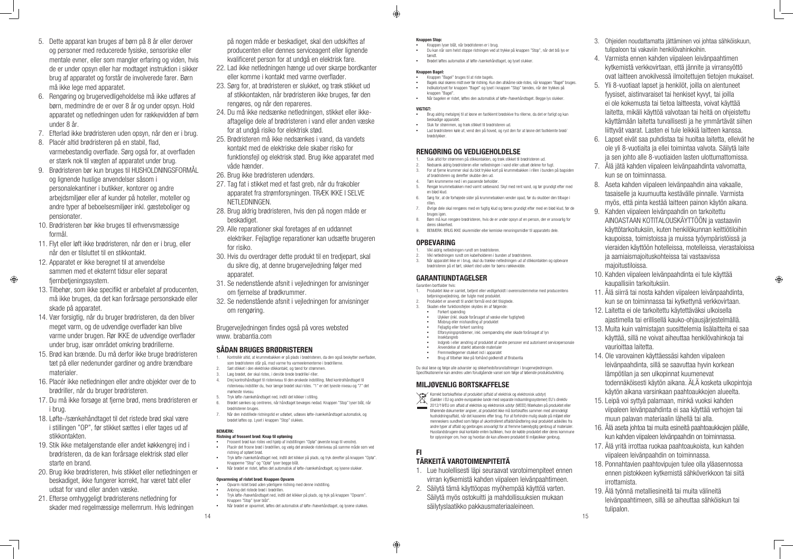- 5. Dette apparat kan bruges af børn på 8 år eller derover og personer med reducerede fysiske, sensoriske eller mentale evner, eller som mangler erfaring og viden, hvis de er under opsyn eller har modtaget instruktion i sikker brug af apparatet og forstår de involverede farer. Børn må ikke lege med apparatet.
- 6. Rengøring og brugervedligeholdelse må ikke udføres af børn, medmindre de er over 8 år og under opsyn. Hold apparatet og netledningen uden for rækkevidden af børn under 8 år.
- 7. Efterlad ikke brødristeren uden opsyn, når den er i brug.
- 8. Placér altid brødristeren på en stabil, flad, varmebestandig overflade. Sørg også for, at overfladen er stærk nok til vægten af apparatet under brug.
- 9. Brødristeren bør kun bruges til HUSHOLDNINGSFORMÅL og lignende huslige anvendelser såsom i personalekantiner i butikker, kontorer og andre arbejdsmiljøer eller af kunder på hoteller, moteller og andre typer af beboelsesmiljøer inkl. gæsteboliger og pensionater.
- 10. Brødristeren bør ikke bruges til erhvervsmæssige formål.
- 11. Flyt eller løft ikke brødristeren, når den er i brug, eller når den er tilsluttet til en stikkontakt.
- 12. Apparatet er ikke beregnet til at anvendelse sammen med et eksternt tidsur eller separat fjernbetjeningssystem.

 $\bigoplus$ 

- 13. Tilbehør, som ikke specifikt er anbefalet af producenten, må ikke bruges, da det kan forårsage personskade eller skade på apparatet.
- 14. Vær forsigtig, når du bruger brødristeren, da den bliver meget varm, og de udvendige overflader kan blive varme under brugen. Rør IKKE de udvendige overflader under brug, især området omkring brødrillerne.
- 15. Brød kan brænde. Du må derfor ikke bruge brødristeren tæt på eller nedenunder gardiner og andre brændbare materialer.
- 16. Placér ikke netledningen eller andre objekter over de to brødriller, når du bruger brødristeren.
- 17. Du må ikke forsøge at fjerne brød, mens brødristeren er i brug.
- 18. Løfte-/sænkehåndtaget til det ristede brød skal være i stillingen "OP", før stikket sættes i eller tages ud af stikkontakten.
- 19. Stik ikke metalgenstande eller andet køkkengrej ind i brødristeren, da de kan forårsage elektrisk stød eller starte en brand.
- 20. Brug ikke brødristeren, hvis stikket eller netledningen er beskadiget, ikke fungerer korrekt, har været tabt eller udsat for vand eller anden væske.
- 21. Efterse omhyggeligt brødristerens netledning for skader med regelmæssige mellemrum. Hvis ledningen
- **•**  Frossent brød kan ristes ved hjælp af indstillingen "Optø" (øverste knap til venstre). **•**  Placér det frosne brød i brødrillen, og vælg det ønskede risteniveau på samme måde som ved ristning af optøet brød.
- **•**  Tryk løfte-/sænkehåndtaget ned, indtil det klikker på plads, og tryk derefter på knappen "Optø". Knapperne "Stop" og "Optø" lyser begge blåt.
- **Når brødet er ristet, løftes det automatisk af løfte-/sænkehåndtaget, og lysene slukker.**

på nogen måde er beskadiget, skal den udskiftes af producenten eller dennes serviceagent eller lignende kvalificeret person for at undgå en elektrisk fare.

- 22. Lad ikke netledningen hænge ud over skarpe bordkanter eller komme i kontakt med varme overflader.
- 23. Sørg for, at brødristeren er slukket, og træk stikket ud af stikkontakten, når brødristeren ikke bruges, før den rengøres, og når den repareres.
- 24. Du må ikke nedsænke netledningen, stikket eller ikkeaftagelige dele af brødristeren i vand eller anden væske for at undgå risiko for elektrisk stød.
- 25. Brødristeren må ikke nedsænkes i vand, da vandets kontakt med de elektriske dele skaber risiko for funktionsfejl og elektrisk stød. Brug ikke apparatet med våde hænder.
- 26. Brug ikke brødristeren udendørs.
- 27. Tag fat i stikket med et fast greb, når du frakobler apparatet fra strømforsyningen. TRÆK IKKE I SELVE NETLEDNINGEN.
- 28. Brug aldrig brødristeren, hvis den på nogen måde er beskadiget.
- 29. Alle reparationer skal foretages af en uddannet elektriker. Fejlagtige reparationer kan udsætte brugeren for risiko.
- 30. Hvis du overdrager dette produkt til en tredjepart, skal du sikre dig, at denne brugervejledning følger med apparatet.
- 31. Se nedenstående afsnit i vejledningen for anvisninger om fjernelse af brødkrummer.
- 32. Se nedenstående afsnit i vejledningen for anvisninger om rengøring.

Brugervejledningen findes også på vores websted www. brabantia.com

### SÅDAN BRUGES BRØDRISTEREN

- 1. Kontrollér altid, at krummebakken er på plads i brødristeren, da den også beskytter overfladen, som brødristeren står på, mod varme fra varmeelementerne i brødrillerne.
- 2. Sæt stikket i den elektriske stikkontakt, og tænd for strømmen. 3. Læg brødet, der skal ristes, i den/de brede brødrille/-riller.
- 4. Drej kontrolhåndtaget til risteniveau til den ønskede indstilling. Med kontrolhåndtaget til risteniveau indstiller du, hvor længe brødet skal ristes. "1" er det lyseste niveau og "7" det mørkeste niveau.
- 5. Tryk løfte-/sænkehåndtaget ned, indtil det klikker i stilling.
- 6. Brødet sænkes og centreres, når håndtaget bevæges nedad. Knappen "Stop" lyser blåt, når brødristeren bruges.
- 7. Når den indstillede ristningstid er udløbet, udløses løfte-/sænkehåndtaget automatisk, og brødet løftes op. Lyset i knappen "Stop" slukkes.

Korrekt bortskaffelse af produktet (affald af elektrisk og elektronisk udstyr)<br>(Gælder i EU og andre europæiske lande med songrets indoomiteser (Gælder i EU og andre europæiske lande med separate indsamlingssystemer) EU's direktiv

#### BEMÆRK:

#### Ristning af frossent brød: Knap til optøning

#### Opvarmning af ristet brød: Knappen Opvarm

- Opvarm ristet brød uden yderligere ristning med denne indstilling.
- **•**  Anbring det ristede brød i brødrillen.
- **•**  Tryk løfte-/hævehåndtaget ned, indtil det klikker på plads, og tryk på knappen "Opvarm". Knappen "Stop" lyser blåt". Når brødet er opvarmet, løftes det automatisk af løfte-/hævehåndtaget, og lysene slukkes.

### $14$  and the contract of the contract of the contract of the contract of the contract of the contract of the contract of the contract of the contract of the contract of the contract of the contract of the contract of the

### Knappen Stop:

 $\bigcirc$ 

- **•**  Knappen lyser blåt, når brødristeren er i brug.
- **•**  Du kan når som helst stoppe ristningen ved at trykke på knappen "Stop", når det blå lys er tændt.
- **•**  Brødet løftes automatisk af løfte-/sænkehåndtaget, og lyset slukker.

#### Knappen Bagel:

- **•**  Knappen "Bagel" bruges til at riste bagels.
- **•**  Bagels skal skæres midt over før ristning. Kun den afskårne side ristes, når knappen "Bagel" bruges. **•**  Indikatorlyset for knappen "Bagel" og lyset i knappen "Stop" tændes, når der trykkes på
- knappen "Bagel" **•**  Når bagelen er ristet, løftes den automatisk af løfte-/hævehåndtaget. Begge lys slukker.

#### VIGTIGT:

- **•**  Brug aldrig metalgrej til at løsne en fastklemt brødskive fra rillerne, da det er farligt og kan beskadige apparatet.
- **•**  Sluk for strømmen, og træk stikket til brødristeren ud.
- **•**  Lad brødristeren køle af, vend den på hoved, og ryst den for at løsne det fastklemte brød/ brødstykker.

### RENGØRING OG VEDLIGEHOLDELSE

- 1. Sluk altid for strømmen på stikkontakten, og træk stikket til brødristeren ud.
- 2. Nedsænk aldrig brødristeren eller netledningen i vand eller udsæt delene for fugt.
- For at fjerne krummer skal du blot trykke kort på krummebakken i rillen i bunden på bagsider af brødristeren og derefter skubbe den ud.
- Tøm krummerne ned i en passende beholde
- 5. Rengør krummebakken med varmt sæbevand. Skyl med rent vand, og tør grundigt efter med en blød klud.
- 6. Sørg for, at de forhøjede sider på krummebakken vender opad, før du skubber den tilbage i rillen.
- 7. Øvrige dele skal rengøres med en fugtig klud og tørres grundigt efter med en blød klud, før de bruges igen.
- 8. Børn må kun rengøre brødristeren, hvis de er under opsyn af en person, der er ansvarlig for deres sikkerhed. 9. BEMÆRK: BRUG IKKE skuremidler eller kemiske rensningsmidler til apparatets dele.

### **OPBEVARING**

- 1. Vikl aldrig netledningen rundt om brødristeren.
- 2. Vikl netledningen rundt om kabelholderen i bunden af brødristeren.
- Når apparatet ikke er i brug, skal du trække netledningen ud af stikkontakten og opbevare brødristeren på et tørt, sikkert sted uden for børns rækkevidde.

### GARANTIUNDTAGELSER

#### Garantien bortfalder hvis:

- 1. Produktet ikke er samlet, betjent eller vedligeholdt i overensstemmelse med producentens betjeningsvejledning, der fulgte med produktet.
- Produktet er anvendt til andet formål end det tilsigtede. 3. Skaden eller funktionsfejlen skyldes én af følgende:
- **•**  Forkert spænding
- **•**  Ulykker (inkl. skade forårsaget af væske eller fugtighed)
- **•**  Misbrug eller mishandling af produktet **•**  Fejlagtig eller forkert samling
- 
- **•**  Elforsyningsproblemer, inkl. overspænding eller skade forårsaget af lyn **•**  Insektangreb
- **•**  Indgreb i eller ændring af produktet af andre personer end autoriseret servicepersonale
- **•**  Anvendelse af stærkt ætsende materialer
- **Fremmedlegemer stukket ind i apparatet •**  Brug af tilbehør ikke på forhånd godkendt af Brabantia

Du skal læse og følge alle advarsler og sikkerhedsforanstaltninger i brugervejledningen. Specifikationerne kan ændres uden forudgående varsel som følge af løbende produktudvikling.

### MILJØVENLIG BORTSKAFFELSE

2012/19/EU om affald af elektrisk og elektronisk udstyr (WEEE) Mærkaten på produktet eller tilhørende dokumenter angiver, at produktet ikke må bortskaffes sammen med almindeligt husholdningsaffald, når det kasseres efter brug. For at forhindre mulig skade på miljøet eller menneskers sundhed som følge af ukontrolleret affaldshåndtering skal produktet adskilles fra andre typer af affald og genbruges ansvarligt for at fremme bæredygtig genbrug af materialer. Husstandsbrugere skal kontakte enten butikken, hvor de købte produktet eller deres kommune for oplysninger om, hvor og hvordan de kan aflevere produktet til miljøsikker genbrug.

## FI

### TÄRKEITÄ VAROTOIMENPITEITÄ

- 1. Lue huolellisesti läpi seuraavat varotoimenpiteet ennen virran kytkemistä kahden viipaleen leivänpaahtimeen.
- 2. Säilytä tämä käyttöopas myöhempää käyttöä varten. Säilytä myös ostokuitti ja mahdollisuuksien mukaan säilytyslaatikko pakkausmateriaaleineen.
- 3. Ohjeiden noudattamatta jättäminen voi johtaa sähköiskuun, tulipaloon tai vakaviin henkilövahinkoihin.
- 4. Varmista ennen kahden viipaleen leivänpaahtimen kytkemistä verkkovirtaan, että jännite ja virransyöttö ovat laitteen arvokilvessä ilmoitettujen tietojen mukaiset.
- 5. Yli 8-vuotiaat lapset ja henkilöt, joilla on alentuneet fyysiset, aistinvaraiset tai henkiset kyvyt, tai joilla ei ole kokemusta tai tietoa laitteesta, voivat käyttää laitetta, mikäli käyttöä valvotaan tai heitä on ohjeistettu käyttämään laitetta turvallisesti ja he ymmärtävät siihen liittyvät vaarat. Lasten ei tule leikkiä laitteen kanssa.
- 6. Lapset eivät saa puhdistaa tai huoltaa laitetta, elleivät he ole yli 8-vuotiaita ja ellei toimintaa valvota. Säilytä laite ja sen johto alle 8-vuotiaiden lasten ulottumattomissa.
- 7. Älä jätä kahden viipaleen leivänpaahdinta valvomatta, kun se on toiminnassa.
- 8. Aseta kahden viipaleen leivänpaahdin aina vakaalle, tasaiselle ja kuumuutta kestävälle pinnalle. Varmista myös, että pinta kestää laitteen painon käytön aikana.
- 9. Kahden viipaleen leivänpaahdin on tarkoitettu AINOASTAAN KOTITALOUSKÄYTTÖÖN ja vastaaviin käyttötarkoituksiin, kuten henkilökunnan keittiötiloihin kaupoissa, toimistoissa ja muissa työympäristöissä ja vieraiden käyttöön hotelleissa, motelleissa, vierastaloissa ja aamiaismajoituskohteissa tai vastaavissa majoitustiloissa.

- 10. Kahden viipaleen leivänpaahdinta ei tule käyttää kaupallisiin tarkoituksiin.
- 11. Älä siirrä tai nosta kahden viipaleen leivänpaahdinta, kun se on toiminnassa tai kytkettynä verkkovirtaan.
- 12. Laitetta ei ole tarkoitettu käytettäväksi ulkoisella ajastimella tai erillisellä kauko-ohjausjärjestelmällä.
- 13. Muita kuin valmistajan suosittelemia lisälaitteita ei saa käyttää, sillä ne voivat aiheuttaa henkilövahinkoja tai vaurioittaa laitetta.
- 14. Ole varovainen käyttäessäsi kahden viipaleen leivänpaahdinta, sillä se saavuttaa hyvin korkean lämpötilan ja sen ulkopinnat kuumenevat todennäköisesti käytön aikana. ÄLÄ kosketa ulkopintoja käytön aikana varsinkaan paahtoaukkojen alueelta.
- 15. Leipä voi syttyä palamaan, minkä vuoksi kahden viipaleen leivänpaahdinta ei saa käyttää verhojen tai muun palavan materiaalin lähellä tai alla.
- 16. Älä aseta johtoa tai muita esineitä paahtoaukkojen päälle, kun kahden viipaleen leivänpaahdin on toiminnassa.
- 17. Älä yritä irrottaa ruokaa paahtoaukoista, kun kahden viipaleen leivänpaahdin on toiminnassa.
- 18. Ponnahtavien paahtovipujen tulee olla yläasennossa ennen pistokkeen kytkemistä sähköverkkoon tai siitä irrottamista.
- 19. Älä työnnä metalliesineitä tai muita välineitä leivänpaahtimeen, sillä se aiheuttaa sähköiskun tai tulipalon.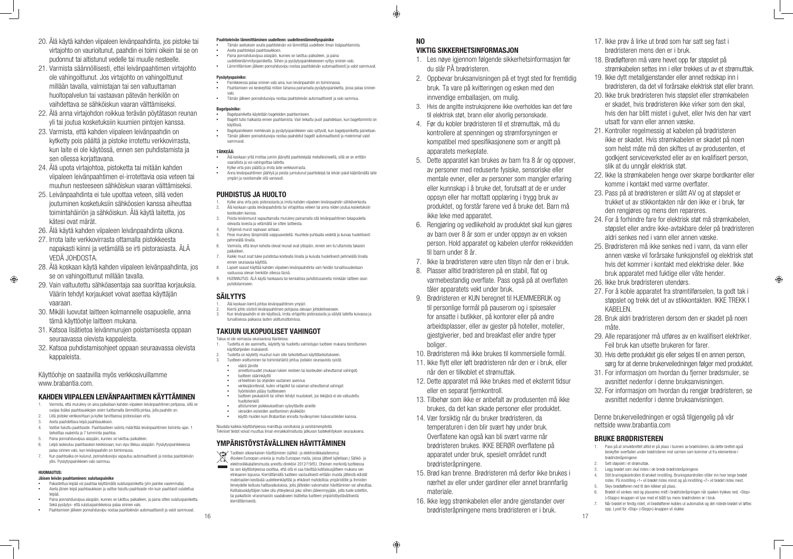- 20. Älä käytä kahden viipaleen leivänpaahdinta, jos pistoke tai virtajohto on vaurioitunut, paahdin ei toimi oikein tai se on pudonnut tai altistunut vedelle tai muulle nesteelle.
- 21. Varmista säännöllisesti, ettei leivänpaahtimen virtajohto ole vahingoittunut. Jos virtajohto on vahingoittunut millään tavalla, valmistajan tai sen valtuuttaman huoltopalvelun tai vastaavan pätevän henkilön on vaihdettava se sähköiskun vaaran välttämiseksi.
- 22. Älä anna virtajohdon roikkua terävän pöytätason reunan yli tai joutua kosketuksiin kuumien pintojen kanssa.
- 23. Varmista, että kahden viipaleen leivänpaahdin on kytketty pois päältä ja pistoke irrotettu verkkovirrasta, kun laite ei ole käytössä, ennen sen puhdistamista ja sen ollessa koriattavana.
- 24. Älä upota virtajohtoa, pistoketta tai mitään kahden viipaleen leivänpaahtimen ei-irrotettavia osia veteen tai muuhun nesteeseen sähköiskun vaaran välttämiseksi.
- 25. Leivänpaahdinta ei tule upottaa veteen, sillä veden joutuminen kosketuksiin sähköosien kanssa aiheuttaa toimintahäiriön ja sähköiskun. Älä käytä laitetta, jos kätesi ovat märät.
- 26. Älä käytä kahden viipaleen leivänpaahdinta ulkona.
- 27. Irrota laite verkkovirrasta ottamalla pistokkeesta napakasti kiinni ja vetämällä se irti pistorasiasta. ÄLÄ VEDÄ JOHDOSTA.
- 28. Älä koskaan käytä kahden viipaleen leivänpaahdinta, jos se on vahingoittunut millään tavalla.
- 29. Vain valtuutettu sähköasentaja saa suorittaa korjauksia. Väärin tehdyt korjaukset voivat asettaa käyttäjän vaaraan.
- 30. Mikäli luovutat laitteen kolmannelle osapuolelle, anna tämä käyttöohje laitteen mukana.
- 31. Katsoa lisätietoa leivänmurujen poistamisesta oppaan seuraavassa olevista kappaleista.
- 32. Katsoa puhdistamisohjeet oppaan seuraavassa olevista kappaleista.

### Käyttöohje on saatavilla myös verkkosivuillamme www.brabantia.com.

#### KAHDEN VIIPALEEN LEIVÄNPAAHTIMEN KÄYTTÄMINEN

- **•**<br>• Bagelpainiketta käytetään bageleiden paahtamiseen.
- **•**  Bagelit tulisi halkaista ennen paahtamista. Vain leikattu puoli paahdetaan, kun bageltoiminto on käytössä.
- **•**  Bagelpainikkeen merkkivalo ja pysäytyspainikkeen valo syttyvät, kun bagelpainiketta painetaan. **•**  Tämän jälkeen ponnahdusvipu nostaa paahdetut bagelit automaattisesti ja molemmat valot sammuvat.

- 1. Varmista, että murulevy on aina paikallaan kahden viipaleen leivänpaahtimen pohjassa, sillä se suojaa lisäksi paahtoaukkojen osien tuottamalta lämmöltä pintaa, jolla paahdin on.
- 2. Liitä pistoke verkkovirtaan ja kytke tarvittaessa pistorasiaan virta.
- 3. Aseta paahdettava leipä paahtoaukkoon.
- 4. Valitse haluttu paahtoaste. Paahtoasteen valinta määrittää leivänpaahtimen toiminta-ajan. 1 tarkoittaa vaaleinta ja 7 tumminta paahtoa.
- 5. Paina ponnahdusvipua alaspäin, kunnes se lukittuu paikalleen.
- 6. Leipä laskeutuu paahtoaukon keskiosaan, kun vipu liikkuu alaspäin. Pysäytyspainikkeessa palaa sininen valo, kun leivänpaahdin on toiminnassa.
- 7. Kun paahtoaika on kulunut, ponnahdusvipu vapautuu automaattisesti ja nostaa paahtoleivän ylös. Pysäytyspainikkeen valo sammuu.

#### HUOMAUTUS:

 $\bigoplus$ 

#### Jäisen leivän paahtaminen: sulatuspainike

- **•**  Pakastettua leipää voi paahtaa käyttämällä sulatuspainiketta (ylin painike vasemmalla). **•**  Aseta jäinen leipä paahtoaukkoon ja valitse haluttu paahtoaste niin kuin paahtaisit sulatettua
- leipää. **•**  Paina ponnahdusvipua alaspäin, kunnes se lukittuu paikalleen, ja paina sitten sulatuspainiketta.
- Sekä pysäytys- että sulatuspainikkeissa palaa sininen valo. **•**  Paahtamisen jälkeen ponnahdusvipu nostaa paahtoleivän automaattisesti ja valot sammuvat.
- Älä koskaan kierrä johtoa leivänpaahtimen ympäri.
- 2. Kierrä johto siististi leivänpaahtimen pohjassa olevaan johtotelineeseen. 3. Kun leivänpaahdin ei ole käytössä, irrota virtajohto pistorasiasta ja säilytä laitetta kuivassa ja turvallisessa paikassa lasten ulottumattomissa.

#### Paahtoleivän lämmittäminen uudelleen: uudelleenlämmityspainike

- **•**  Tämän asetuksen avulla paahtoleivän voi lämmittää uudelleen ilman lisäpaahtamista. **•**  Aseta paahtoleipä paahtoaukkoon.
- **•**  Paina ponnahdusvipua alaspäin, kunnes se lukittuu paikalleen, ja paina
- uudelleenlämmityspainiketta. Siihen ja pysäytyspainikkeeseen syttyy sininen valo. **•**  Lämmittämisen jälkeen ponnahdusvipu nostaa paahtoleivän automaattisesti ja valot sammuvat.

#### Pysäytyspainike:

- **•**  Painikkeessa palaa sininen valo aina, kun leivänpaahdin on toiminnassa.
- **•**  Paahtamisen voi keskeyttää milloin tahansa painamalla pysäytyspainiketta, jossa palaa sininen valo.
- **•**  Tämän jälkeen ponnahdusvipu nostaa paahtoleivän automaattisesti ja valo sammuu.

#### Bagelpainike:

#### TÄRKEÄÄ:

- **•**  Älä koskaan yritä irrottaa jumiin jäänyttä paahtoleipää metalliesineellä, sillä se on erittäin vaarallista ja voi vahingoittaa laitetta.
- **•**  Kytke virta pois päältä ja irrota laite verkkovirrasta.
- **•**  Anna leivänpaahtimen jäähtyä ja poista jumiutunut paahtoleipä tai leivän palat kääntämällä laite ympäri ja ravistamalle sitä varovasti.

#### PUHDISTUS JA HUOLTO

- 1. Kytke aina virta pois pistorasiasta ja irrota kahden viipaleen leivänpaahdin sähköverkosta. 2. Älä koskaan upota leivänpaahdinta tai virtajohtoa veteen tai anna niiden joutua kosketuksiin kosteuden kanssa.
- 3. Poista leivänmurut vapauttamalla murulevy painamalla sitä leivänpaahtimen takapuolella olevasta lovesta ja vetämällä se sitten laitteesta.
- 4. Tyhjennä murut sopivaan astiaan.
- 5. Pese murulevy lämpimällä saippuavedellä. Huuhtele puhtaalla vedellä ja kuivaa huolellisesti pehmeällä liinalla.
- 6. Varmista, että levyn koholla olevat reunat ovat ylöspäin, ennen sen liu'uttamista takaisin paikalleen.
- 7. Kaikki muut osat tulee puhdistaa kostealla liinalla ja kuivata huolellisesti pehmeällä liinalla ennen seuraavaa käyttöä.
- 8. Lapset saavat käyttää kahden viipaleen leivänpaahdinta vain heidän turvallisuudestaan vastuussa olevan henkilön ollessa läsnä.
- 9. HUOMAUTUS: ÄLÄ käytä hankaavia tai kemiallisia puhdistusaineita minkään laitteen osan puhdistamiseen.

### SÄILYTYS

### TAKUUN ULKOPUOLISET VAHINGOT

Takuu ei ole voimassa seuraavissa tilanteissa:

- 1. Tuotetta ei ole asennettu, käytetty tai huollettu valmistajan tuotteen mukana toimittamien käyttöohjeiden mukaisesti.
- 2. Tuotetta on käytetty muuhun kuin sille tarkoitettuun käyttötarkoitukseen.<br>2. Tuotteen vioittuminen tai toimintahäiriö johtuu jostakin seuraavista syist
- 3. Tuotteen vioittuminen tai toimintahäiriö johtuu jostakin seuraavista syistä:
- **•**  väärä jännite
- **•**  onnettomuudet (mukaan lukien nesteen tai kosteuden aiheuttamat vahingot) **•**  tuotteen väärinkäyttö
- **•**  virheellinen tai ohjeiden vastainen asennus
- verkkojänniteviat, kuten virtapiikit tai salaman aiheuttamat vahingot
- **hyönteisten pääsy tuotteese**
- **•**  tuotteen peukalointi tai siihen tehdyt muutokset, jos tekijänä ei ole valtuutettu huoltohenkilö
- **•**  altistuminen poikkeuksellisen syövyttäville aineille
- **•**  vieraiden esineiden asettaminen yksikköön
- **•**  käyttö muiden kuin Brabantian ennalta hyväksymien lisävarusteiden kanssa.

Noudata kaikkia käyttöohjeessa mainittuja varoituksia ja varotoimenpiteitä. Tekniset tiedot voivat muuttua ilman ennakkoilmoitusta jatkuvan tuotekehityksen seurauksena.

### YMPÄRISTÖYSTÄVÄLLINEN HÄVITTÄMINEN

Tuotteen oikeanlainen hävittäminen (sähkö- ja elektroniikkalaiteromu)

(Koskee Euroopan unionia ja muita Euroopan maita, joissa jätteet lajitellaan.) Sähkö- ja elektroniikkalaiteromusta annettu direktiivi 2012/19/EU. Oheinen merkintä tuotteessa tai sen käyttöohjeessa osoittaa, että sitä ei saa hävittää kotitalousjätteen mukana sen elinkaaren lopussa. Kierrättämällä tuotteen vastuullisesti erillään muista jätteistä edistät materiaalien kestävää uudelleenkäyttöä ja ehkäiset mahdollisia ympäristölle ja ihmisten terveydelle koituvia haittavaikutuksia, joita jätteiden valvomaton hävittäminen voi aiheuttaa. Kotitalouskäyttäjien tulee olla yhteydessä joko siihen jälleenmyyjään, jolta tuote ostettiin, tai paikallisiin viranomaisiin saadakseen lisätietoa tuotteen ympäristöystävällisestä kierrättämisestä.

#### NO VIKTIG SIKKERHETSINFORMASJON

- 1. Les nøye igjennom følgende sikkerhetsinformasjon før du slår PÅ brødristeren.
- 2. Oppbevar bruksanvisningen på et trygt sted for fremtidig bruk. Ta vare på kvitteringen og esken med den innvendige emballasien, om mulig.
- 3. Hvis de angitte instruksjonene ikke overholdes kan det føre til elektrisk støt, brann eller alvorlig personskade.
- 4. Før du kobler brødristeren til et strømuttak, må du kontrollere at spenningen og strømforsyningen er kompatibel med spesifikasjonene som er angitt på apparatets merkeplate.
- 5. Dette apparatet kan brukes av barn fra 8 år og oppover, av personer med reduserte fysiske, sensoriske eller mentale evner, eller av personer som mangler erfaring eller kunnskap i å bruke det, forutsatt at de er under oppsyn eller har mottatt opplæring i trygg bruk av produktet, og forstår farene ved å bruke det. Barn må ikke leke med apparatet.
- 6. Rengjøring og vedlikehold av produktet skal kun gjøres av barn over 8 år som er under oppsyn av en voksen person. Hold apparatet og kabelen utenfor rekkevidden til barn under 8 år.
- 7. Ikke la brødristeren være uten tilsyn når den er i bruk.
- 8. Plasser alltid brødristeren på en stabil, flat og varmebestandig overflate. Pass også på at overflaten tåler apparatets vekt under bruk.
- 9. Brødristeren er KUN beregnet til HJEMMEBRUK og til personlige formål på pauserom og i spisesaler for ansatte i butikker, på kontorer eller på andre arbeidsplasser, eller av gjester på hoteller, moteller, gjestgiverier, bed and breakfast eller andre typer boliger.
- 10. Brødristeren må ikke brukes til kommersielle formål.
- 11. Ikke flytt eller løft brødristeren når den er i bruk, eller når den er tilkoblet et strømuttak.
- 12. Dette apparatet må ikke brukes med et eksternt tidsur eller en separat fjernkontroll.
- 13. Tilbehør som ikke er anbefalt av produsenten må ikke brukes, da det kan skade personer eller produktet.
- 14. Vær forsiktig når du bruker brødristeren, da temperaturen i den blir svært høy under bruk. Overflatene kan også kan bli svært varme når brødristeren brukes. IKKE BERØR overflatene på apparatet under bruk, spesielt området rundt brødristeråpningene.
- 15. Brød kan brenne. Brødristeren må derfor ikke brukes i nærhet av eller under gardiner eller annet brannfarlig materiale.
- 16  $\overline{17}$  17 16. Ikke legg strømkabelen eller andre gjenstander over brødristeråpningene mens brødristeren er i bruk.
	-

⊕

- 17. Ikke prøv å lirke ut brød som har satt seg fast i brødristeren mens den er i bruk.
- 18. Brødløfteren må være hevet opp før støpslet på strømkabelen settes inn i eller trekkes ut av et strømuttak.
- 19. Ikke dytt metallgjenstander eller annet redskap inn i brødristeren, da det vil forårsake elektrisk støt eller brann.
- 20. Ikke bruk brødristeren hvis støpslet eller strømkabelen er skadet, hvis brødristeren ikke virker som den skal, hvis den har blitt mistet i gulvet, eller hvis den har vært utsatt for vann eller annen væske.
- 21. Kontroller regelmessig at kabelen på brødristeren ikke er skadet. Hvis strømkabelen er skadet på noen som helst måte må den skiftes ut av produsenten, et godkjent serviceverksted eller av en kvalifisert person, slik at du unngår elektrisk støt.
- 22. Ikke la strømkabelen henge over skarpe bordkanter eller komme i kontakt med varme overflater.
- 23. Pass på at brødristeren er slått AV og at støpslet er trukket ut av stikkontakten når den ikke er i bruk, før den rengjøres og mens den repareres.
- 24. For å forhindre fare for elektrisk støt må strømkabelen, støpslet eller andre ikke-avtakbare deler på brødristeren aldri senkes ned i vann eller annen væske.
- 25. Brødristeren må ikke senkes ned i vann, da vann eller annen væske vil forårsake funksjonsfeil og elektrisk støt hvis det kommer i kontakt med elektriske deler. Ikke bruk apparatet med fuktige eller våte hender.

 $\bigoplus$ 

- 26. Ikke bruk brødristeren utendørs.
- 27. For å koble apparatet fra strømtilførselen, ta godt tak i støpslet og trekk det ut av stikkontakten. IKKE TREKK I KABELEN.
- 28. Bruk aldri brødristeren dersom den er skadet på noen måte.
- 29. Alle reparasjoner må utføres av en kvalifisert elektriker. Feil bruk kan utsette brukeren for farer.
- 30. Hvis dette produktet gis eller selges til en annen person, sørg for at denne brukerveiledningen følger med produktet.
- 31. For informasjon om hvordan du fjerner brødsmuler, se avsnittet nedenfor i denne bruksanvisningen.
- 32. For informasjon om hvordan du rengjør brødristeren, se avsnittet nedenfor i denne bruksanvisningen.

Denne brukerveiledningen er også tilgjengelig på vår nettside www.brabantia.com

### BRUKE BRØDRISTEREN

- 1. Pass på at smulebrettet alltid er på plass i bunnen av brødristeren, da dette brettet også beskytter overflaten under brødristeren mot varmen som kommer ut fra elementene i brødristeråpningene.
- 2. Sett støpslet i et strømuttak.
- Legg brødet som skal ristes i de brede brødristeråpningene.
- 4. Still bruningskontrollen til ønsket innstilling. Bruningskontrollen stiller inn hvor lenge brødet
- ristes. På innstilling «1» vil brødet ristes minst og på innstilling «7» vil brødet ristes mest. 5. Skyv brødløfteren ned til den klikker på plass.
- 6. Brødet vil senkes ned og plasseres midt i brødristeråpningen når spaken trykkes ned. «Stop» («Stopp»)-knappen vil lyse med et blått lys mens brødristeren er i bruk.
- 7. Når brødet er ferdig ristet, vil brødløfteren kobles ut automatisk og det ristede brødet vil løftes opp. Lyset for «Stop» («Stopp»)-knappen vil slukke.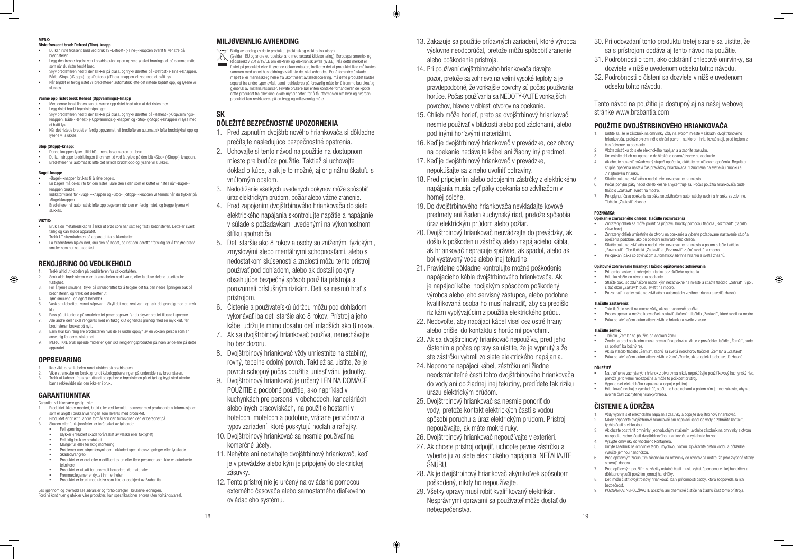#### MERK:

#### Riste frossent brød: Defrost (Tine)-knapp

- **•**  Du kan riste frossent brød ved bruk av «Defrost» («Tine»)-knappen øverst til venstre på brødristeren.
- **•**  Legg den frosne brødskiven i brødristeråpningen og velg ønsket bruningstid, på samme måte som når du rister ferskt brød.
- **•**  Skyv brødløfteren ned til den klikker på plass, og trykk deretter på «Defrost» («Tine»)-knappen. Både «Stop» («Stopp»)- og «Defrost» («Tine»)-knappen vil lyse med et blått lys.
- **•**  Når brødet er ferdig ristet vil brødløfteren automatisk løfte det ristede brødet opp, og lysene vil slukkes.

- Med denne innstillingen kan du varme opp ristet brød uten at det ristes mer. **•**  Legg ristet brød i brødristeråpningen.
- **•**  Skyv brødløfteren ned til den klikker på plass, og trykk deretter på «Reheat» («Oppvarmings) knappen. Både «Reheat» («Oppvarmings»)-knappen og «Stop» («Stopp»)-knappen vil lyse med et blått lys.
- Når det ristede brødet er ferdig oppvarmet, vil brødløfteren automatisk løfte brødstykket opp og lysene vil slukkes.

#### Stop (Stopp)-knapp:

- **•**  Denne knappen lyser alltid blått mens brødristeren er i bruk.
- **•**  Du kan stroppe brødristingen til enhver tid ved å trykke på den blå «Stop» («Stopp»)-knappen. **• Brødløfteren vil automatisk løfte det ristede brødet opp og lysene vil slukkes.**

#### Varme opp ristet brød: Reheat (Oppvarmings)-knapp

- Bruk aldri metallredskap til å lirke ut brød som har satt seg fast i brødristeren. Dette er svært farlig og kan skade apparatet.
- **•**  Trekk UT strømkabelen på apparatet fra stikkontakten.
- **•**  La brødristeren kjøles ned, snu den på hodet, og rist den deretter forsiktig for å frigjøre brød/ smuler som har satt seg fast.

#### Bagel-knapp:

- **•**  «Bagel»-knappen brukes til å riste bagels.
- **•**  En bagels må deles i to før den ristes. Bare den siden som er kuttet vil ristes når «Bagel» knappen brukes
- **•**  Indikatorlysene for «Bagel»-knappen og «Stop» («Stopp»)-knappen vil tennes når du trykker på «Bagel»knappen **•**  Brødløfteren vil automatisk løfte opp bagelsen når den er ferdig ristet, og begge lysene vil
- slukkes.

- Ikke vikle strømkabelen rundt utsiden på brødristeren.
- 2. Vikle strømkabelen forsiktig rundt kabeloppbevaringen på undersiden av brødristeren. 3. Trekk ut kabelen fra strømuttaket og oppbevar brødristeren på et tørt og trygt sted utenfor barns rekkevidde når den ikke er i bruk.

#### VIKTIG:

 $\bigoplus$ 

### RENGJØRING OG VEDLIKEHOLD

- 1. Trekk alltid ut kabelen på brødristeren fra stikkontakten.
- 2. Senk aldri brødristeren eller strømkabelen ned i vann, eller la disse delene utsettes for fuktighet
- 3. For å fjerne smulene, trykk på smulebrettet for å frigjøre det fra den nedre åpningen bak på brødristeren, og trekk det deretter ut. 4. Tøm smulene i en egnet beholder.
- 
- 5. Vask smulebrettet i varmt såpevann. Skyll det med rent vann og tørk det grundig med en myk klut.
- 6. Pass på at kantene på smulebrettet peker oppover før du skyver brettet tilbake i sporene. 7. Alle andre deler skal rengjøres med en fuktig klut og tørkes grundig med en myk klut, før brødristeren brukes på nytt.
- 8. Barn skal kun rengjøre brødristeren hvis de er under oppsyn av en voksen person som er ansvarlig for deres sikkerhet.
- 9. MERK: IKKE bruk ripende midler er kjemiske rengjøringsprodukter på noen av delene på dette apparatet.

#### **OPPBEVARING**

### GARANTIUNNTAK

#### Garantien vil ikke være gyldig hvis:

- 1. Produktet ikke er montert, brukt eller vedlikeholdt i samsvar med produsentens informasjonen som er angitt i bruksanvisningen som leveres med produktet.
- 2. Produktet er brukt til andre formål enn den funksjonen den er beregnet på.
- 3. Skaden eller funksjonsfeilen er forårsaket av følgende: **•**  Feil spenning
- **•**  Ulykker (inkludert skade forårsaket av væske eller fuktighet)
- Feilaktig bruk av produktet
- **•**  Mangelfull eller feilaktig montering
- **•**  Problemer med strømforsyningen, inkludert spenningssvingninger eller lynskade
- Skadedyrangrep **•**  Produktet er endret eller modifisert av en eller flere personer som ikke er autoriserte teknikere
- **•**  Produktet er utsatt for unormalt korroderende materialer
- **Fremmedlegemer er dyttet inn i enheten**
- **•**  Produktet er brukt med utstyr som ikke er godkjent av Brabantia

Les igjennom og overhold alle advarsler og forholdsregler i brukerveiledningen. Fordi vi kontinuerlig utvikler våre produkter, kan spesifikasjoner endres uten forhåndsvarsel.

### MILJØVENNLIG AVHENDING

Riktig avhending av dette produktet (elektrisk og elektronisk utstyr)

(Gjelder i EU og andre europeiske land med separat kildesortering). Europaparlaments- og Rådsdirektiv 2012/19/UE om elektrisk og elektronisk avfall (WEEE). Når dette merket er festet på produktet eller tilhørende dokumentasjon, indikerer det at produktet ikke må kastes sammen med annet husholdningsavfall når det skal avhendes. For å forhindre å skade miljøet eller menneskelig helse fra ukontrollert avfallsdeponering, må dette produktet kastes separat fra andre typer avfall, samt resirkuleres på forsvarlig måte for å fremme bærekraftig gjenbruk av materialressurser. Private brukere bør enten kontakte forhandleren de kjøpte dette produktet fra eller sine lokale myndigheter, for å få informasjon om hvor og hvordan produktet kan resirkuleres på en trygg og miljøvennlig måte.

# SK

### DÔLEŽITÉ BEZPEČNOSTNÉ UPOZORNENIA

- 1. Pred zapnutím dvojštrbinového hriankovača si dôkladne prečítajte nasledujúce bezpečnostné opatrenia.
- 2. Uchovajte si tento návod na použitie na dostupnom mieste pre budúce použitie. Taktiež si uchovajte doklad o kúpe, a ak je to možné, aj originálnu škatuľu s vnútorným obalom.
- 3. Nedodržanie všetkých uvedených pokynov môže spôsobiť úraz elektrickým prúdom, požiar alebo vážne zranenie.
- 4. Pred zapojením dvojštrbinového hriankovača do siete elektrického napájania skontrolujte napätie a napájanie v súlade s požiadavkami uvedenými na výkonnostnom štítku spotrebiča.
- 5. Deti staršie ako 8 rokov a osoby so zníženými fyzickými, zmyslovými alebo mentálnymi schopnosťami, alebo s nedostatkom skúseností a znalostí môžu tento prístroj používať pod dohľadom, alebo ak dostali pokyny obsahujúce bezpečný spôsob použitia prístroja a porozumeli príslušným rizikám. Deti sa nesmú hrať s prístrojom.
- 6. Čistenie a používateľskú údržbu môžu pod dohľadom vykonávať iba deti staršie ako 8 rokov. Prístroj a jeho kábel udržujte mimo dosahu detí mladších ako 8 rokov.
- 7. Ak sa dvojštrbinový hriankovač používa, nenechávajte ho bez dozoru.
- 8. Dvojštrbinový hriankovač vždy umiestnite na stabilný, rovný, tepelne odolný povrch. Taktiež sa uistite, že je povrch schopný počas použitia uniesť váhu jednotky.
- 9. Dvojštrbinový hriankovač je určený LEN NA DOMÁCE POUŽITIE a podobné použitie, ako napríklad v kuchynkách pre personál v obchodoch, kanceláriách alebo iných pracoviskách, na použitie hosťami v hoteloch, moteloch a podobne, vrátane penziónov a typov zariadení, ktoré poskytujú nocľah a raňajky.
- 10. Dvojštrbinový hriankovač sa nesmie používať na komerčné účely.
- 11. Nehýbte ani nedvíhajte dvojštrbinový hriankovač, keď je v prevádzke alebo kým je pripojený do elektrickej zásuvky.
- 12. Tento prístroj nie je určený na ovládanie pomocou externého časovača alebo samostatného diaľkového ovládacieho systému.

13. Zakazuje sa použitie prídavných zariadení, ktoré výrobca výslovne neodporúčal, pretože môžu spôsobiť zranenie alebo poškodenie prístroja.

♦

- 14. Pri používaní dvojštrbinového hriankovača dávajte pozor, pretože sa zohrieva na veľmi vysoké teploty a je pravdepodobné, že vonkajšie povrchy sú počas používania horúce. Počas používania sa NEDOTÝKAJTE vonkajších povrchov, hlavne v oblasti otvorov na opekanie.
- 15. Chlieb môže horieť, preto sa dvojštrbinový hriankovač nesmie používať v blízkosti alebo pod záclonami, alebo pod inými horľavými materiálmi.
- 16. Keď je dvojštrbinový hriankovač v prevádzke, cez otvory na opekanie nedávajte kábel ani žiadny iný predmet.
- 17. Keď je dvojštrbinový hriankovač v prevádzke, nepokúšajte sa z neho uvoľniť potraviny.
- 18. Pred pripojením alebo odpojením zástrčky z elektrického napájania musia byť páky opekania so zdvíhačom v hornej polohe.
- 19. Do dvojštrbinového hriankovača nevkladajte kovové predmety ani žiaden kuchynský riad, pretože spôsobia úraz elektrickým prúdom alebo požiar.
- 20. Dvojštrbinový hriankovač neuvádzajte do prevádzky, ak došlo k poškodeniu zástrčky alebo napájacieho kábla, ak hriankovač nepracuje správne, ak spadol, alebo ak bol vystavený vode alebo inej tekutine.
- 21. Pravidelne dôkladne kontrolujte možné poškodenie napájacieho kábla dvojštrbinového hriankovača. Ak je napájací kábel hocijakým spôsobom poškodený, výrobca alebo jeho servisný zástupca, alebo podobne kvalifikovaná osoba ho musí nahradiť, aby sa predišlo rizikám vyplývajúcim z použitia elektrického prúdu.
- 22. Nedovoľte, aby napájací kábel visel cez ostré hrany alebo prišiel do kontaktu s horúcimi povrchmi.
- 23. Ak sa dvojštrbinový hriankovač nepoužíva, pred jeho čistením a počas opravy sa uistite, že je vypnutý a že ste zástrčku vybrali zo siete elektrického napájania.
- 24. Neponorte napájací kábel, zástrčku ani žiadne neodstrániteľné časti tohto dvojštrbinového hriankovača do vody ani do žiadnej inej tekutiny, predídete tak riziku úrazu elektrickým prúdom.
- 25. Dvojštrbinový hriankovač sa nesmie ponoriť do vody, pretože kontakt elektrických častí s vodou spôsobí poruchu a úraz elektrickým prúdom. Prístroj nepoužívajte, ak máte mokré ruky.
- 26. Dvojštrbinový hriankovač nepoužívajte v exteriéri.
- 27. Ak chcete prístroj odpojiť, uchopte pevne zástrčku a vyberte ju zo siete elektrického napájania. NEŤAHAJTE ŠNÚRU.
- 28. Ak je dvojštrbinový hriankovač akýmkoľvek spôsobom poškodený, nikdy ho nepoužívajte.
- 29. Všetky opravy musí robiť kvalifikovaný elektrikár. Nesprávnymi opravami sa používateľ môže dostať do nebezpečenstva.

⊕

- 
- 
- 30. Pri odovzdaní tohto produktu tretej strane sa uistite, že sa s prístrojom dodáva aj tento návod na použitie.
- 31. Podrobnosti o tom, ako odstrániť chlebové omrvinky, sa dozviete v nižšie uvedenom odseku tohto návodu.
- 32. Podrobnosti o čistení sa dozviete v nižšie uvedenom odseku tohto návodu.

Tento návod na použitie je dostupný aj na našej webovej stránke www.brabantia.com

### POUŽITIE DVOJŠTRBINOVÉHO HRIANKOVAČA

- 1. Uistite sa, že je zásobník na omrvinky vždy na svojom mieste v základni dvojštrbinového hriankovača, pretože okrem iného chráni povrch, na ktorom hriankovač stojí, pred teplom z častí otvorov na opekanie.
- 2. Vložte zástrčku do siete elektrického napájania a zapnite zásuvku.
- 3. Umiestnite chlieb na opekanie do širokého otvoru/otvorov na opekanie.
- 4. Ak chcete nastaviť požadovaný stupeň opečenia, otáčajte regulátorom opečenia. Regulátor stupňa opečenia nastaví čas prevádzky hriankovača. 1 znamená najsvetlejšiu hrianku a 7 najtmavšiu hrianku.
- 5. Stlačte páku so zdvíhačom nadol, kým nezacvakne na miesto.
- 6. Počas pohybu páky nadol chlieb klesne a vycentruje sa. Počas použitia hriankovača bude tlačidlo "Zastaviť" svietiť na modro.
- 7. Po uplynutí času opekania sa páka so zdvíhačom automaticky uvoľní a hrianka sa zdvihne. Tlačidlo "Zastaviť" zhasne.

#### POZNÁMKA:

#### Opekanie zmrazeného chleba: Tlačidlo rozmrazenia

- **•**  Zmrazený chlieb sa môže použiť na prípravu hrianky pomocou tlačidla "Rozmraziť" (tlačidlo vľavo hore).
- **•**  Zmrazený chlieb umiestnite do otvoru na opekanie a vyberte požadované nastavenie stupňa opečenia podobne, ako pri opekaní rozmrazeného chleba.
- **•**  Stlačte páku so zdvíhačom nadol, kým nezacvakne na miesto a potom stlačte tlačidlo "Rozmraziť". Obe tlačidlá "Zastaviť" a "Rozmraziť" začnú svietiť na modro.
- **•**  Po opekaní páka so zdvíhačom automaticky zdvihne hrianku a svetlá zhasnú.

#### Opätovné zohrievanie hrianky: Tlačidlo opätovného zohrievania

- **•**  Pri tomto nastavení zohrejete hrianku bez ďalšieho opekania.
- **•**  Hrianku vložte do otvoru na opekanie.
- **•**  Stlačte páku so zdvíhačom nadol, kým nezacvakne na mieste a stlačte tlačidlo "Zohriať". Spolu s tlačidlom "Zastaviť" budú svietiť na modro.
- **•**  Po zohriatí hrianky páka so zdvíhačom automaticky zdvihne hrianku a svetlá zhasnú.

#### Tlačidlo zastavenia:

- **•**  Toto tlačidlo svieti na modro vždy, ak sa hriankovač používa.
- **•**  Proces opekania možno kedykoľvek zastaviť stlačením tlačidla "Zastaviť", ktoré svieti na modro.
- **•**  Páka so zdvíhačom automaticky zdvihne hrianku a svetlo zhasne.

#### Tlačidlo žemle:

- **•**  Tlačidlo "Žemľa" sa používa pri opekaní žemlí.
- **•**  Žemle sa pred opekaním musia prekrojiť na polovicu. Ak je v prevádzke tlačidlo "Žemľa", bude sa opekať iba bočný rez.
- Ak sa stlačilo tlačidlo "Žemľa", zapnú sa svetlá indikátorov tlačidiel "Žemľa" a "Zastaviť"
- **•**  Páka so zdvíhačom automaticky zdvihne žemľu/žemle, ak sa opiekli a obe svetlá zhasnú.

#### DÔLEŽITÉ

- **•**  Na uvoľnenie zachytených hrianok z otvorov sa nikdy nepokúšajte použiť kovový kuchynský riad, pretože je to veľmi nebezpečné a môže to poškodiť prístroj.
- **•**  Vypnite sieť elektrického napájania a odpojte prístroj.
- **•**  Hriankovač nechajte vychladnúť, otočte ho hore nohami a potom ním jemne zatraste, aby ste uvoľnili časti zachytenej hrianky/chleba.

### ČISTENIE A ÚDRŽBA

- 1. Vždy vypnite sieť elektrického napájania zásuvky a odpojte dvojštrbinový hriankovač.
- 2. Nikdy neponorte dvojštrbinový hriankovač ani napájací kábel do vody a zabráňte kontaktu týchto častí s vlhkosťou.
- 3. Ak chcete odstrániť omrvinky, jednoduchým stlačením uvoľnite zásobník na omrvinky z otvoru na spodku zadnej časti dvojštrbinového hriankovača a vytiahnite ho von.
- Vysypte omrvinky do vhodného kontajnera.
- 5. Umyte zásobník na omrvinky teplou mydlovou vodou. Opláchnite čistou vodou a dôkladne vysušte jemnou handričkou.
- 6. Pred opätovným zasunutím zásobníka na omrvinky do otvorov sa uistite, že jeho zvýšené strany smerujú dohora.
- 7. Pred opätovným použitím sa všetky ostatné časti musia vyčistiť pomocou vlhkej handričky a dôkladne vysušiť použitím jemnej handričky.
- 8. Deti môžu čistiť dvojštrbinový hriankovač iba v prítomnosti osoby, ktorá zodpovedá za ich bezpečnosť.
- 9. POZNÁMKA: NEPOUŽÍVAJTE abrazíva ani chemické čističe na žiadnu časť tohto prístroja.